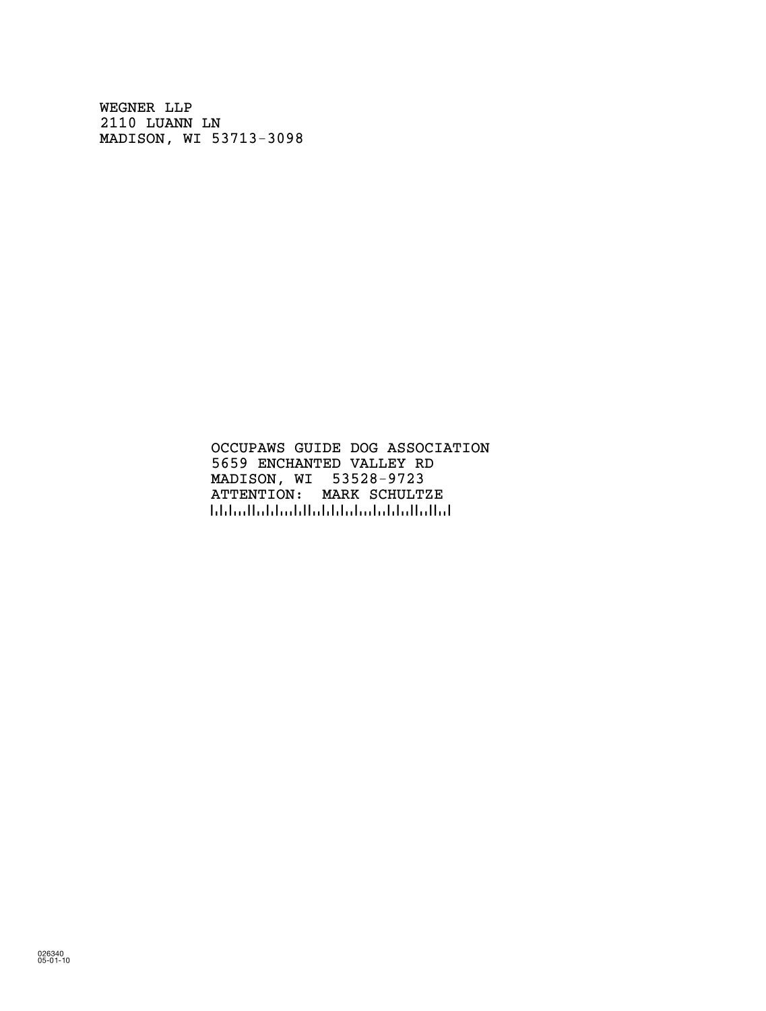WEGNER LLP 2110 LUANN LN MADISON, WI 53713-3098

> OCCUPAWS GUIDE DOG ASSOCIATION 5659 ENCHANTED VALLEY RD MADISON, WI 53528-9723 ATTENTION: MARK SCHULTZE !5352897236!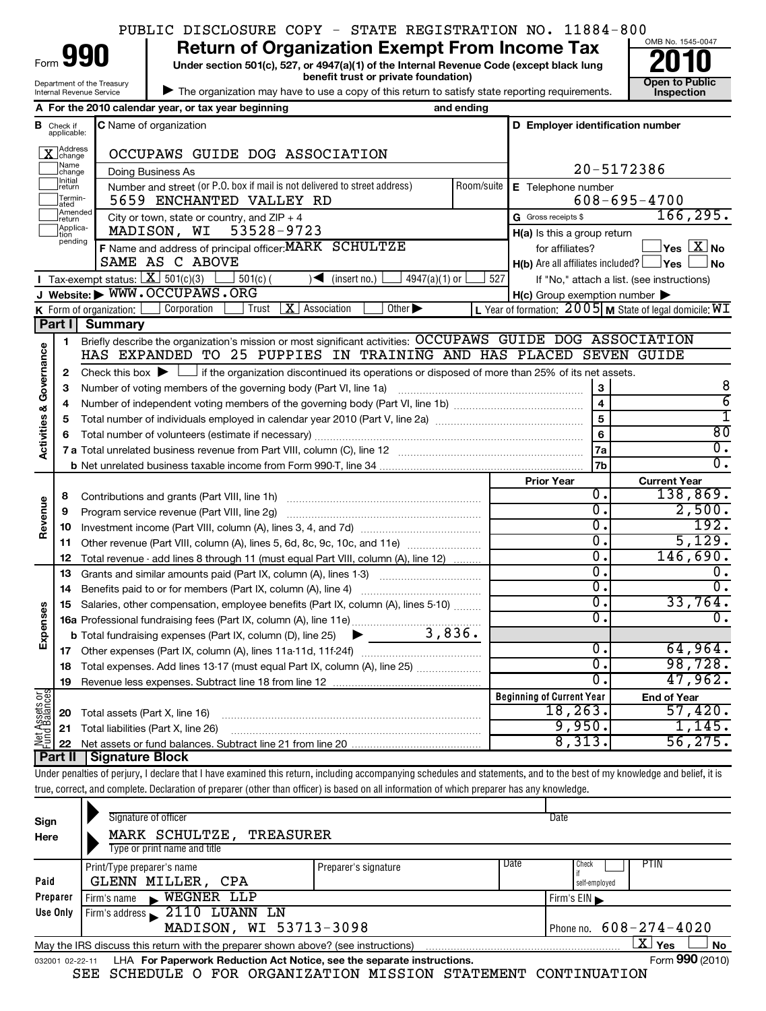|  |  | PUBLIC DISCLOSURE COPY - STATE REGISTRATION NO. 11884-800 |                     |  |
|--|--|-----------------------------------------------------------|---------------------|--|
|  |  |                                                           | $OMB N_0$ 1545-0047 |  |

|  |  | f Organization Exempt From Incom |  |  |  |
|--|--|----------------------------------|--|--|--|
|--|--|----------------------------------|--|--|--|

**990** Return of Organization Exempt From Income Tax  $\frac{6048 \text{ No. 1545-004}}{2010}$ **benefit trust or private foundation) Construction** 

| The organization may have to use a copy of this return to satisfy state reporting requirements.

Form



true, correct, and complete. Declaration of preparer (other than officer) is based on all information of which preparer has any knowledge.

| Sign<br>Here                                                                                                       | Signature of officer<br>MARK SCHULTZE,<br>TREASURER<br>Type or print name and title |                      | Date                                            |  |  |
|--------------------------------------------------------------------------------------------------------------------|-------------------------------------------------------------------------------------|----------------------|-------------------------------------------------|--|--|
| Paid                                                                                                               | Print/Type preparer's name<br>GLENN MILLER,<br>CPA                                  | Preparer's signature | Date<br><b>PTIN</b><br>  Check<br>self-employed |  |  |
| $\blacktriangleright$ WEGNER LLP<br>Preparer<br>Firm's name<br>Firm's $EIN$                                        |                                                                                     |                      |                                                 |  |  |
| Firm's address 2110 LUANN LN<br>Use Only                                                                           |                                                                                     |                      |                                                 |  |  |
|                                                                                                                    | MADISON, WI 53713-3098<br>Phone no. $608 - 274 - 4020$                              |                      |                                                 |  |  |
| $\mathbf{X}$ Yes<br><b>No</b><br>May the IRS discuss this return with the preparer shown above? (see instructions) |                                                                                     |                      |                                                 |  |  |
| 032001 02-22-11                                                                                                    | LHA For Paperwork Reduction Act Notice, see the separate instructions.              |                      | Form 990 (2010)                                 |  |  |
|                                                                                                                    | SEE SCHEDULE O FOR ORGANIZATION MISSION STATEMENT CONTINUATION                      |                      |                                                 |  |  |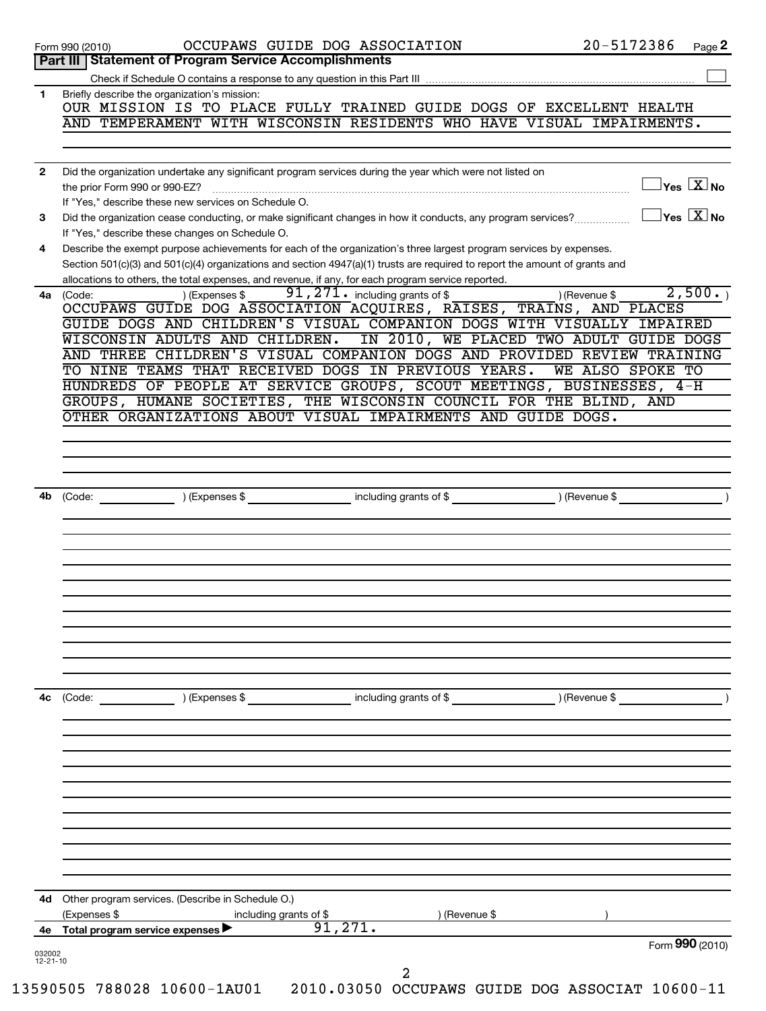|              | OCCUPAWS GUIDE DOG ASSOCIATION<br>Page 2<br>Part III   Statement of Program Service Accomplishments                                                                                          |
|--------------|----------------------------------------------------------------------------------------------------------------------------------------------------------------------------------------------|
|              |                                                                                                                                                                                              |
| 1            | Briefly describe the organization's mission:<br>OUR MISSION IS TO PLACE FULLY TRAINED GUIDE DOGS OF EXCELLENT HEALTH                                                                         |
|              | AND TEMPERAMENT WITH WISCONSIN RESIDENTS WHO HAVE VISUAL IMPAIRMENTS.                                                                                                                        |
| $\mathbf{2}$ | Did the organization undertake any significant program services during the year which were not listed on<br>$\overline{\mathsf{y}}$ es $\overline{\mathbf{X}}$ No                            |
|              | If "Yes," describe these new services on Schedule O.                                                                                                                                         |
| 3            | $\rm\,Ves}$ $\rm \overline{X}$ No<br>Did the organization cease conducting, or make significant changes in how it conducts, any program services?                                            |
| 4            | If "Yes," describe these changes on Schedule O.<br>Describe the exempt purpose achievements for each of the organization's three largest program services by expenses.                       |
|              | Section 501(c)(3) and 501(c)(4) organizations and section 4947(a)(1) trusts are required to report the amount of grants and                                                                  |
| 4a l         | allocations to others, the total expenses, and revenue, if any, for each program service reported.<br>2,500.<br>91, 271. including grants of \$<br>) (Revenue \$<br>(Code:<br>) (Expenses \$ |
|              | OCCUPAWS GUIDE DOG ASSOCIATION ACQUIRES, RAISES, TRAINS, AND PLACES<br>GUIDE DOGS AND CHILDREN'S VISUAL COMPANION DOGS WITH VISUALLY IMPAIRED                                                |
|              | WISCONSIN ADULTS AND CHILDREN. IN 2010, WE PLACED TWO ADULT GUIDE DOGS                                                                                                                       |
|              | AND THREE CHILDREN'S VISUAL COMPANION DOGS AND PROVIDED REVIEW TRAINING<br>TO NINE TEAMS THAT RECEIVED DOGS IN PREVIOUS YEARS.<br>WE ALSO SPOKE TO                                           |
|              | HUNDREDS OF PEOPLE AT SERVICE GROUPS, SCOUT MEETINGS, BUSINESSES, 4-H                                                                                                                        |
|              | GROUPS, HUMANE SOCIETIES, THE WISCONSIN COUNCIL FOR THE BLIND, AND                                                                                                                           |
|              | OTHER ORGANIZATIONS ABOUT VISUAL IMPAIRMENTS AND GUIDE DOGS.                                                                                                                                 |
|              |                                                                                                                                                                                              |
|              |                                                                                                                                                                                              |
| 4b           | (Code: ) (Expenses \$ including grants of \$ ) (Revenue \$                                                                                                                                   |
|              |                                                                                                                                                                                              |
|              |                                                                                                                                                                                              |
|              |                                                                                                                                                                                              |
|              |                                                                                                                                                                                              |
|              |                                                                                                                                                                                              |
|              |                                                                                                                                                                                              |
|              |                                                                                                                                                                                              |
|              |                                                                                                                                                                                              |
| 4с           |                                                                                                                                                                                              |
|              |                                                                                                                                                                                              |
|              |                                                                                                                                                                                              |
|              |                                                                                                                                                                                              |
|              |                                                                                                                                                                                              |
|              |                                                                                                                                                                                              |
|              |                                                                                                                                                                                              |
| 4d           |                                                                                                                                                                                              |
|              | Other program services. (Describe in Schedule O.)<br>(Expenses \$<br>including grants of \$<br>) (Revenue \$                                                                                 |
|              | 91,271.<br>4e Total program service expenses<br>Form 990 (2010)                                                                                                                              |
|              | 032002                                                                                                                                                                                       |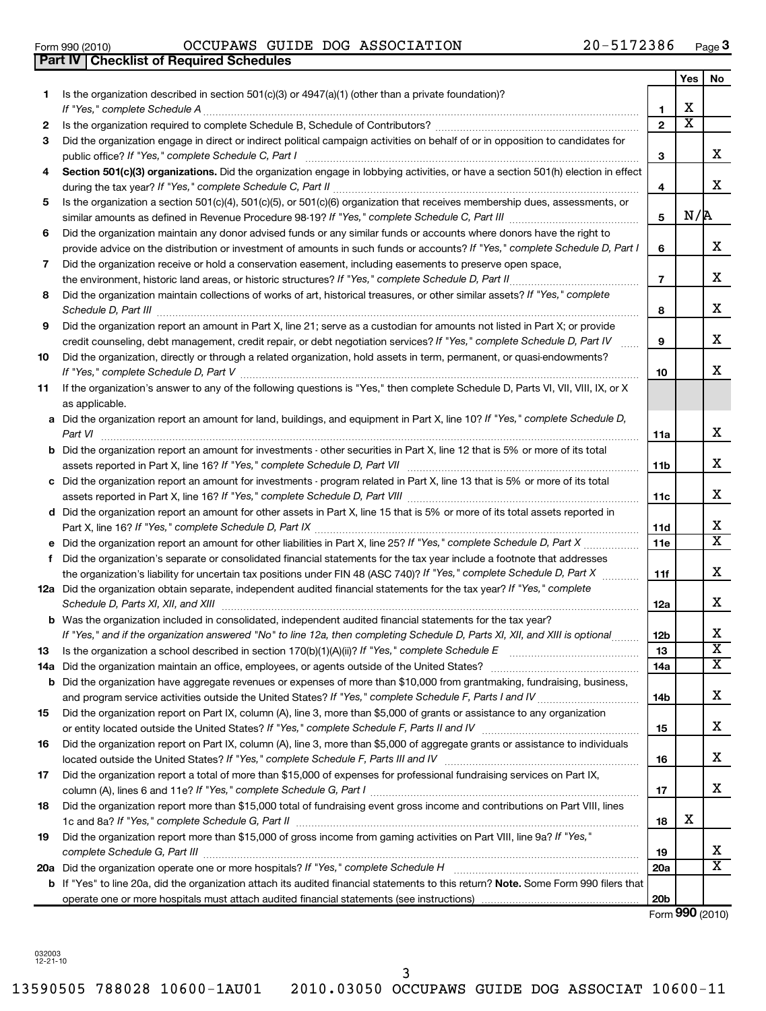|    |                                                                                                                                                                                                                                |                  | Yes                     | No                           |
|----|--------------------------------------------------------------------------------------------------------------------------------------------------------------------------------------------------------------------------------|------------------|-------------------------|------------------------------|
| 1. | Is the organization described in section $501(c)(3)$ or $4947(a)(1)$ (other than a private foundation)?                                                                                                                        |                  |                         |                              |
|    | If "Yes," complete Schedule A                                                                                                                                                                                                  | 1                | х                       |                              |
| 2  | Is the organization required to complete Schedule B, Schedule of Contributors? [111] [12] the organization required to complete Schedule B, Schedule of Contributors? [12] [12] [12] the organization required to complete Sch | $\overline{2}$   | $\overline{\textbf{x}}$ |                              |
| 3  | Did the organization engage in direct or indirect political campaign activities on behalf of or in opposition to candidates for<br>public office? If "Yes," complete Schedule C, Part I                                        | 3                |                         | x                            |
| 4  | Section 501(c)(3) organizations. Did the organization engage in lobbying activities, or have a section 501(h) election in effect                                                                                               | 4                |                         | x                            |
| 5  | Is the organization a section 501(c)(4), 501(c)(5), or 501(c)(6) organization that receives membership dues, assessments, or                                                                                                   |                  |                         |                              |
|    |                                                                                                                                                                                                                                | 5                | N/R                     |                              |
| 6  | Did the organization maintain any donor advised funds or any similar funds or accounts where donors have the right to                                                                                                          |                  |                         |                              |
|    | provide advice on the distribution or investment of amounts in such funds or accounts? If "Yes," complete Schedule D, Part I                                                                                                   | 6                |                         | x                            |
| 7  | Did the organization receive or hold a conservation easement, including easements to preserve open space,                                                                                                                      |                  |                         |                              |
|    | the environment, historic land areas, or historic structures? If "Yes," complete Schedule D, Part II                                                                                                                           | $\overline{7}$   |                         | x                            |
| 8  | Did the organization maintain collections of works of art, historical treasures, or other similar assets? If "Yes," complete<br>Schedule D, Part III                                                                           | 8                |                         | x                            |
| 9  | Did the organization report an amount in Part X, line 21; serve as a custodian for amounts not listed in Part X; or provide                                                                                                    |                  |                         |                              |
|    | credit counseling, debt management, credit repair, or debt negotiation services? If "Yes," complete Schedule D, Part IV                                                                                                        | 9                |                         | x                            |
| 10 | Did the organization, directly or through a related organization, hold assets in term, permanent, or quasi-endowments?<br>If "Yes," complete Schedule D, Part V                                                                | 10               |                         | x                            |
| 11 | If the organization's answer to any of the following questions is "Yes," then complete Schedule D, Parts VI, VII, VIII, IX, or X<br>as applicable.                                                                             |                  |                         |                              |
|    | a Did the organization report an amount for land, buildings, and equipment in Part X, line 10? If "Yes," complete Schedule D,                                                                                                  |                  |                         |                              |
|    | Part VI                                                                                                                                                                                                                        | 11a              |                         | x                            |
|    | <b>b</b> Did the organization report an amount for investments - other securities in Part X, line 12 that is 5% or more of its total                                                                                           |                  |                         |                              |
|    | assets reported in Part X, line 16? If "Yes," complete Schedule D, Part VII                                                                                                                                                    | 11b              |                         | x                            |
|    | c Did the organization report an amount for investments - program related in Part X, line 13 that is 5% or more of its total                                                                                                   |                  |                         |                              |
|    |                                                                                                                                                                                                                                | 11c              |                         | x                            |
|    | d Did the organization report an amount for other assets in Part X, line 15 that is 5% or more of its total assets reported in                                                                                                 | 11d              |                         | x                            |
|    | <b>e</b> Did the organization report an amount for other liabilities in Part X, line 25? If "Yes," complete Schedule D, Part X $\ldots$                                                                                        | 11e              |                         | $\overline{\mathtt{x}}$      |
|    | f Did the organization's separate or consolidated financial statements for the tax year include a footnote that addresses                                                                                                      |                  |                         |                              |
|    | the organization's liability for uncertain tax positions under FIN 48 (ASC 740)? If "Yes," complete Schedule D, Part X                                                                                                         | 11f              |                         | х                            |
|    | 12a Did the organization obtain separate, independent audited financial statements for the tax year? If "Yes," complete                                                                                                        |                  |                         |                              |
|    | Schedule D, Parts XI, XII, and XIII                                                                                                                                                                                            | 12a              |                         | x                            |
|    | b Was the organization included in consolidated, independent audited financial statements for the tax year?                                                                                                                    |                  |                         | x                            |
|    | If "Yes," and if the organization answered "No" to line 12a, then completing Schedule D, Parts XI, XII, and XIII is optional                                                                                                   | <b>12b</b><br>13 |                         | $\overline{\text{x}}$        |
|    |                                                                                                                                                                                                                                | 14a              |                         | $\overline{\mathtt{x}}$      |
|    | <b>b</b> Did the organization have aggregate revenues or expenses of more than \$10,000 from grantmaking, fundraising, business,                                                                                               |                  |                         |                              |
|    |                                                                                                                                                                                                                                | 14b              |                         | x                            |
| 15 | Did the organization report on Part IX, column (A), line 3, more than \$5,000 of grants or assistance to any organization                                                                                                      |                  |                         |                              |
|    |                                                                                                                                                                                                                                | 15               |                         | x                            |
| 16 | Did the organization report on Part IX, column (A), line 3, more than \$5,000 of aggregate grants or assistance to individuals                                                                                                 |                  |                         |                              |
|    |                                                                                                                                                                                                                                | 16               |                         | x                            |
| 17 | Did the organization report a total of more than \$15,000 of expenses for professional fundraising services on Part IX,                                                                                                        |                  |                         |                              |
|    |                                                                                                                                                                                                                                | 17               |                         | x                            |
| 18 | Did the organization report more than \$15,000 total of fundraising event gross income and contributions on Part VIII, lines                                                                                                   |                  |                         |                              |
|    |                                                                                                                                                                                                                                | 18               | х                       |                              |
| 19 | Did the organization report more than \$15,000 of gross income from gaming activities on Part VIII, line 9a? If "Yes,"                                                                                                         |                  |                         |                              |
|    |                                                                                                                                                                                                                                | 19               |                         | x<br>$\overline{\mathtt{x}}$ |
|    | 20a Did the organization operate one or more hospitals? If "Yes," complete Schedule H<br>b If "Yes" to line 20a, did the organization attach its audited financial statements to this return? Note. Some Form 990 filers that  | <b>20a</b>       |                         |                              |
|    |                                                                                                                                                                                                                                | 20 <sub>b</sub>  |                         |                              |
|    |                                                                                                                                                                                                                                |                  |                         |                              |

Form (2010) **990**

032003 12-21-10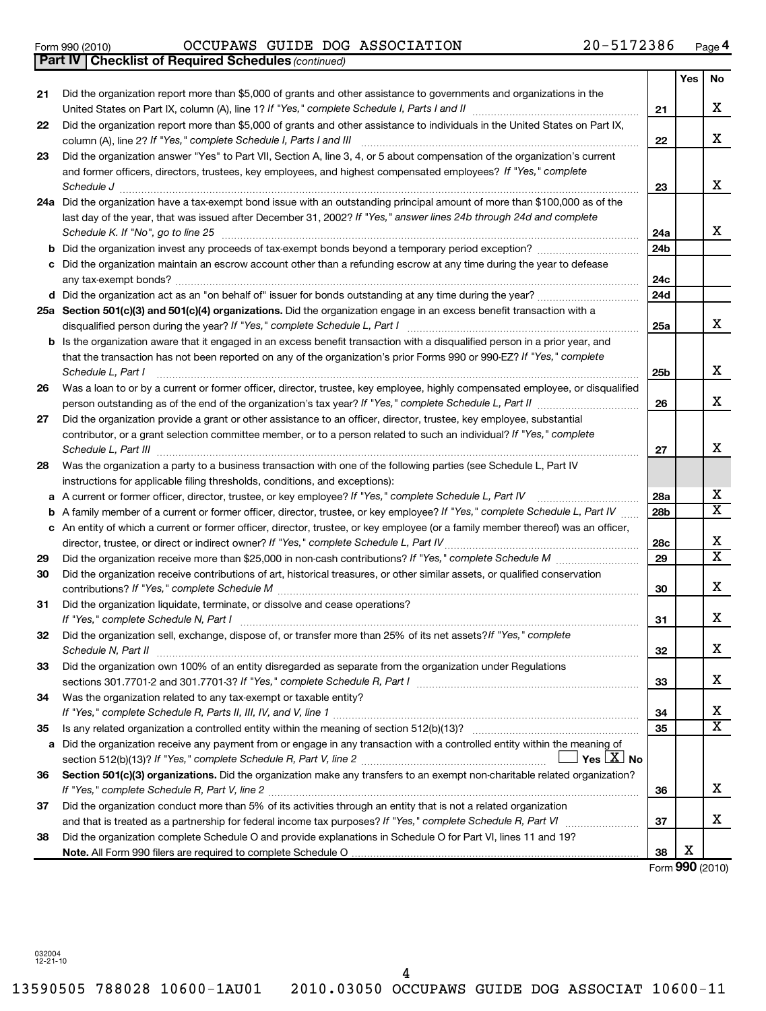Form 990 (2010) OCCUPAWS GUIDE DOG ASSOCIATION 20-5172386 Page

*(continued)* **Part IV Checklist of Required Schedules**

|    |                                                                                                                                                                                                                               |                 | Yes | No                      |
|----|-------------------------------------------------------------------------------------------------------------------------------------------------------------------------------------------------------------------------------|-----------------|-----|-------------------------|
| 21 | Did the organization report more than \$5,000 of grants and other assistance to governments and organizations in the                                                                                                          | 21              |     | х                       |
| 22 | Did the organization report more than \$5,000 of grants and other assistance to individuals in the United States on Part IX,<br>column (A), line 2? If "Yes," complete Schedule I, Parts I and III                            | 22              |     | x                       |
| 23 | Did the organization answer "Yes" to Part VII, Section A, line 3, 4, or 5 about compensation of the organization's current                                                                                                    |                 |     |                         |
|    | and former officers, directors, trustees, key employees, and highest compensated employees? If "Yes," complete<br>Schedule J                                                                                                  | 23              |     | X                       |
|    | 24a Did the organization have a tax-exempt bond issue with an outstanding principal amount of more than \$100,000 as of the                                                                                                   |                 |     |                         |
|    | last day of the year, that was issued after December 31, 2002? If "Yes," answer lines 24b through 24d and complete<br>Schedule K. If "No", go to line 25                                                                      | 24a             |     | x                       |
| b  | Did the organization invest any proceeds of tax-exempt bonds beyond a temporary period exception?                                                                                                                             | 24b             |     |                         |
| с  | Did the organization maintain an escrow account other than a refunding escrow at any time during the year to defease                                                                                                          | 24 <sub>c</sub> |     |                         |
|    |                                                                                                                                                                                                                               | 24d             |     |                         |
|    | 25a Section 501(c)(3) and 501(c)(4) organizations. Did the organization engage in an excess benefit transaction with a                                                                                                        | 25a             |     | x                       |
| b  | Is the organization aware that it engaged in an excess benefit transaction with a disqualified person in a prior year, and                                                                                                    |                 |     |                         |
|    | that the transaction has not been reported on any of the organization's prior Forms 990 or 990-EZ? If "Yes," complete<br>Schedule L, Part I                                                                                   | 25 <sub>b</sub> |     | х                       |
| 26 | Was a loan to or by a current or former officer, director, trustee, key employee, highly compensated employee, or disqualified                                                                                                |                 |     |                         |
|    |                                                                                                                                                                                                                               | 26              |     | X                       |
| 27 | Did the organization provide a grant or other assistance to an officer, director, trustee, key employee, substantial                                                                                                          |                 |     |                         |
|    | contributor, or a grant selection committee member, or to a person related to such an individual? If "Yes," complete<br>Schedule L, Part III                                                                                  | 27              |     | x                       |
| 28 | Was the organization a party to a business transaction with one of the following parties (see Schedule L, Part IV                                                                                                             |                 |     |                         |
|    | instructions for applicable filing thresholds, conditions, and exceptions):                                                                                                                                                   |                 |     |                         |
| a  | A current or former officer, director, trustee, or key employee? If "Yes," complete Schedule L, Part IV                                                                                                                       | 28a             |     | х                       |
| b  | A family member of a current or former officer, director, trustee, or key employee? If "Yes," complete Schedule L, Part IV                                                                                                    | 28 <sub>b</sub> |     | X                       |
|    | c An entity of which a current or former officer, director, trustee, or key employee (or a family member thereof) was an officer,                                                                                             |                 |     |                         |
|    | director, trustee, or direct or indirect owner? If "Yes," complete Schedule L, Part IV                                                                                                                                        | 28c             |     | х                       |
| 29 |                                                                                                                                                                                                                               | 29              |     | $\overline{\texttt{x}}$ |
| 30 | Did the organization receive contributions of art, historical treasures, or other similar assets, or qualified conservation                                                                                                   | 30              |     | х                       |
| 31 | Did the organization liquidate, terminate, or dissolve and cease operations?                                                                                                                                                  | 31              |     | х                       |
| 32 | Did the organization sell, exchange, dispose of, or transfer more than 25% of its net assets? If "Yes," complete<br>Schedule N, Part II                                                                                       | 32              |     | Χ                       |
| 33 | Did the organization own 100% of an entity disregarded as separate from the organization under Regulations<br>sections 301.7701-2 and 301.7701-3? If "Yes," complete Schedule R, Part I manufactured and annumental community | 33              |     | x                       |
| 34 | Was the organization related to any tax-exempt or taxable entity?                                                                                                                                                             | 34              |     | х                       |
| 35 |                                                                                                                                                                                                                               | 35              |     | X                       |
| а  | Did the organization receive any payment from or engage in any transaction with a controlled entity within the meaning of                                                                                                     |                 |     |                         |
|    | Yes $ \underline{X} $ No                                                                                                                                                                                                      |                 |     |                         |
| 36 | Section 501(c)(3) organizations. Did the organization make any transfers to an exempt non-charitable related organization?                                                                                                    | 36              |     | x                       |
| 37 | Did the organization conduct more than 5% of its activities through an entity that is not a related organization                                                                                                              |                 |     |                         |
|    |                                                                                                                                                                                                                               | 37              |     | x                       |
| 38 | Did the organization complete Schedule O and provide explanations in Schedule O for Part VI, lines 11 and 19?                                                                                                                 |                 |     |                         |
|    |                                                                                                                                                                                                                               | 38              | х   |                         |

Form (2010) **990**

032004 12-21-10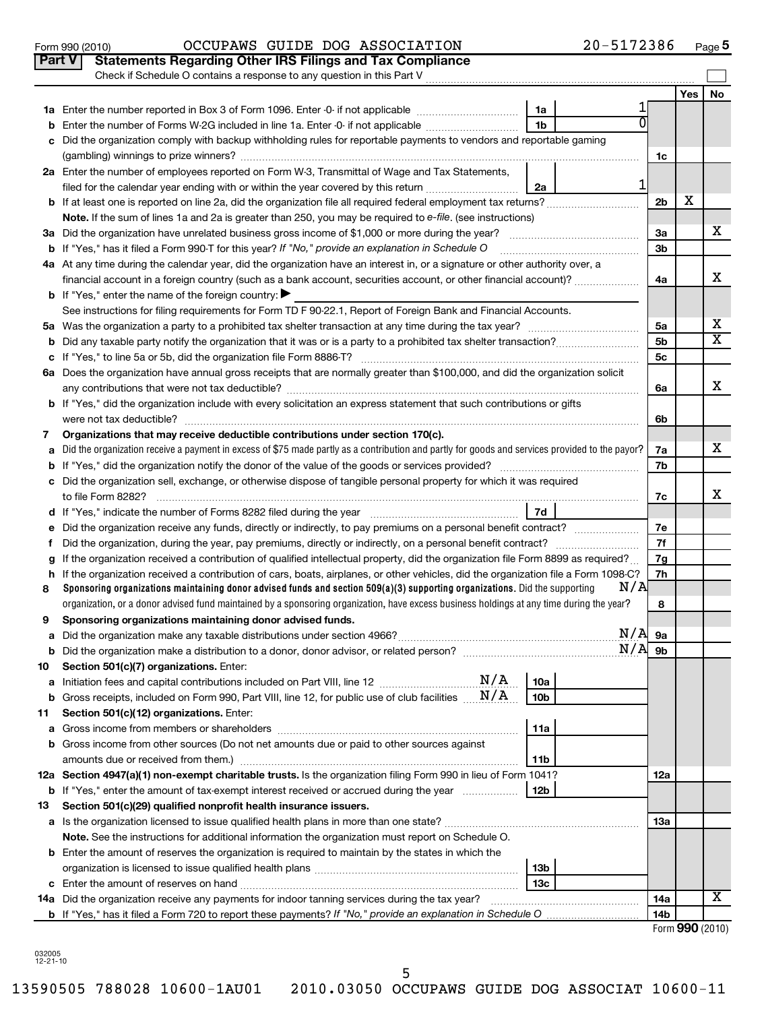|    | Check if Schedule O contains a response to any question in this Part V                                                                                                                                                               |                |     |                         |
|----|--------------------------------------------------------------------------------------------------------------------------------------------------------------------------------------------------------------------------------------|----------------|-----|-------------------------|
|    |                                                                                                                                                                                                                                      |                | Yes | No                      |
|    | 1a<br>1a Enter the number reported in Box 3 of Form 1096. Enter -0- if not applicable                                                                                                                                                |                |     |                         |
| b  | $\overline{0}$<br>1 <sub>b</sub><br>Enter the number of Forms W-2G included in line 1a. Enter -0- if not applicable                                                                                                                  |                |     |                         |
| c  | Did the organization comply with backup withholding rules for reportable payments to vendors and reportable gaming                                                                                                                   |                |     |                         |
|    |                                                                                                                                                                                                                                      | 1c             |     |                         |
|    | 2a Enter the number of employees reported on Form W-3, Transmittal of Wage and Tax Statements,                                                                                                                                       |                |     |                         |
|    | 1<br>filed for the calendar year ending with or within the year covered by this return <i>[[[[[[[[[[[[[[]]]]</i> ]]<br>2a                                                                                                            |                |     |                         |
|    |                                                                                                                                                                                                                                      | 2 <sub>b</sub> | х   |                         |
|    | Note. If the sum of lines 1a and 2a is greater than 250, you may be required to e-file. (see instructions)                                                                                                                           |                |     |                         |
|    |                                                                                                                                                                                                                                      | За             |     | x                       |
|    | <b>b</b> If "Yes," has it filed a Form 990-T for this year? If "No," provide an explanation in Schedule O                                                                                                                            | 3b             |     |                         |
|    | 4a At any time during the calendar year, did the organization have an interest in, or a signature or other authority over, a                                                                                                         |                |     |                         |
|    | financial account in a foreign country (such as a bank account, securities account, or other financial account)?                                                                                                                     | 4a             |     | x                       |
|    | <b>b</b> If "Yes," enter the name of the foreign country:                                                                                                                                                                            |                |     |                         |
|    | See instructions for filing requirements for Form TD F 90-22.1, Report of Foreign Bank and Financial Accounts.                                                                                                                       |                |     |                         |
|    |                                                                                                                                                                                                                                      | 5a             |     | x                       |
|    |                                                                                                                                                                                                                                      | 5b             |     | $\overline{\textbf{x}}$ |
|    |                                                                                                                                                                                                                                      | 5c             |     |                         |
|    | 6a Does the organization have annual gross receipts that are normally greater than \$100,000, and did the organization solicit                                                                                                       |                |     |                         |
|    |                                                                                                                                                                                                                                      | 6a             |     | x                       |
|    | b If "Yes," did the organization include with every solicitation an express statement that such contributions or gifts                                                                                                               |                |     |                         |
|    |                                                                                                                                                                                                                                      | 6b             |     |                         |
| 7  | Organizations that may receive deductible contributions under section 170(c).                                                                                                                                                        |                |     | x                       |
| a  | Did the organization receive a payment in excess of \$75 made partly as a contribution and partly for goods and services provided to the payor?                                                                                      | 7a<br>7b       |     |                         |
|    | c Did the organization sell, exchange, or otherwise dispose of tangible personal property for which it was required                                                                                                                  |                |     |                         |
|    |                                                                                                                                                                                                                                      | 7c             |     | х                       |
|    | 7d<br>d If "Yes," indicate the number of Forms 8282 filed during the year [111] 111] The West The West Handle Line was the West Handle Steam Handle Steam Handle Steam Handle Steam Handle Steam Handle Steam Handle Steam Handle St |                |     |                         |
|    | e Did the organization receive any funds, directly or indirectly, to pay premiums on a personal benefit contract?                                                                                                                    | 7e             |     |                         |
| Ť  |                                                                                                                                                                                                                                      | 7f             |     |                         |
| g  | If the organization received a contribution of qualified intellectual property, did the organization file Form 8899 as required?                                                                                                     | 7g             |     |                         |
|    | h If the organization received a contribution of cars, boats, airplanes, or other vehicles, did the organization file a Form 1098-C?                                                                                                 | 7h             |     |                         |
| 8  | N/A<br>Sponsoring organizations maintaining donor advised funds and section 509(a)(3) supporting organizations. Did the supporting                                                                                                   |                |     |                         |
|    | organization, or a donor advised fund maintained by a sponsoring organization, have excess business holdings at any time during the year?                                                                                            | 8              |     |                         |
| 9  | Sponsoring organizations maintaining donor advised funds.                                                                                                                                                                            |                |     |                         |
|    | N/A                                                                                                                                                                                                                                  | 9а             |     |                         |
| b  | $N/A$ 9b                                                                                                                                                                                                                             |                |     |                         |
| 10 | Section 501(c)(7) organizations. Enter:                                                                                                                                                                                              |                |     |                         |
| а  | 10a                                                                                                                                                                                                                                  |                |     |                         |
| b  | Gross receipts, included on Form 990, Part VIII, line 12, for public use of club facilities $\ldots$ $N/A$<br>10b                                                                                                                    |                |     |                         |
| 11 | Section 501(c)(12) organizations. Enter:                                                                                                                                                                                             |                |     |                         |
| а  | 11a                                                                                                                                                                                                                                  |                |     |                         |
|    | b Gross income from other sources (Do not net amounts due or paid to other sources against                                                                                                                                           |                |     |                         |
|    | amounts due or received from them.)<br>11b                                                                                                                                                                                           |                |     |                         |
|    | 12a Section 4947(a)(1) non-exempt charitable trusts. Is the organization filing Form 990 in lieu of Form 1041?                                                                                                                       | 12a            |     |                         |
|    | <b>b</b> If "Yes," enter the amount of tax-exempt interest received or accrued during the year<br>12b                                                                                                                                |                |     |                         |
| 13 | Section 501(c)(29) qualified nonprofit health insurance issuers.                                                                                                                                                                     |                |     |                         |
|    |                                                                                                                                                                                                                                      | 13a            |     |                         |
|    | Note. See the instructions for additional information the organization must report on Schedule O.                                                                                                                                    |                |     |                         |
|    | <b>b</b> Enter the amount of reserves the organization is required to maintain by the states in which the<br>13 <sub>b</sub>                                                                                                         |                |     |                         |
|    | 13c                                                                                                                                                                                                                                  |                |     |                         |
|    | 14a Did the organization receive any payments for indoor tanning services during the tax year?                                                                                                                                       | 14a            |     | x                       |
|    |                                                                                                                                                                                                                                      | 14b            |     |                         |
|    |                                                                                                                                                                                                                                      |                |     |                         |

Form 990 (2010) OCCUPAWS GUIDE DOG ASSOCIATION 20-5172386 Page

**Part V Statements Regarding Other IRS Filings and Tax Compliance**

**5**

032005 12-21-10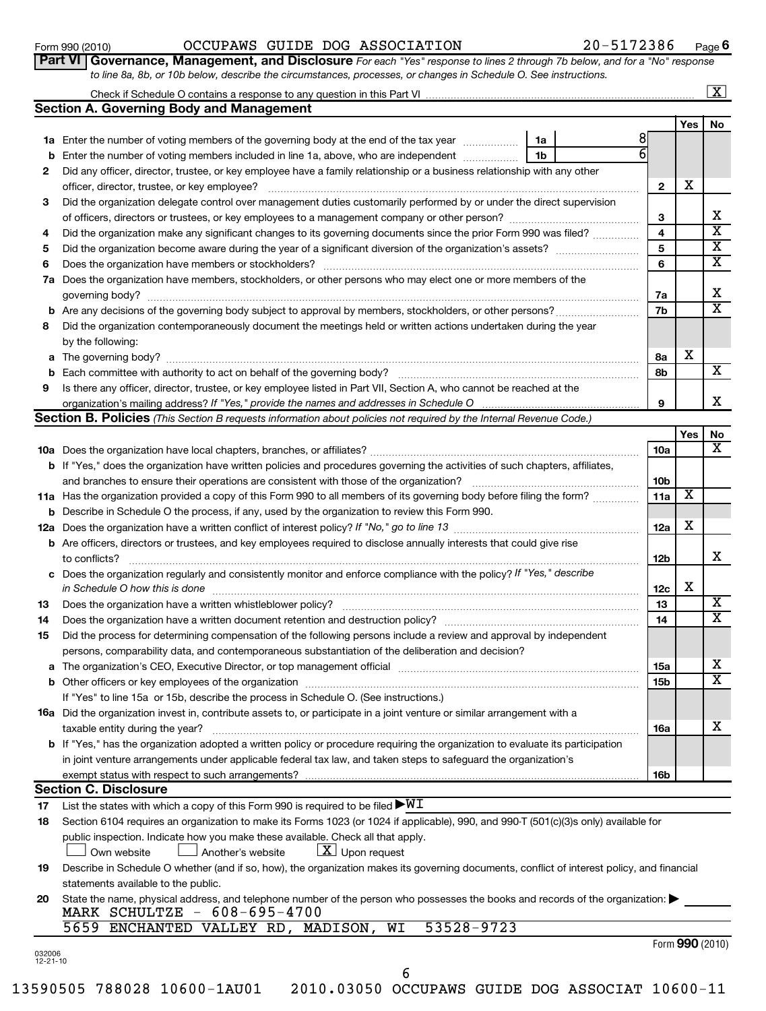**6**

|    | 20-5172386<br>OCCUPAWS GUIDE DOG ASSOCIATION<br>Form 990 (2010)                                                                      |                 |     | Page $6$                |
|----|--------------------------------------------------------------------------------------------------------------------------------------|-----------------|-----|-------------------------|
|    | Part VI Governance, Management, and Disclosure For each "Yes" response to lines 2 through 7b below, and for a "No" response          |                 |     |                         |
|    | to line 8a, 8b, or 10b below, describe the circumstances, processes, or changes in Schedule O. See instructions.                     |                 |     |                         |
|    |                                                                                                                                      |                 |     | $\boxed{\textbf{X}}$    |
|    | <b>Section A. Governing Body and Management</b>                                                                                      |                 |     |                         |
|    |                                                                                                                                      |                 | Yes | No.                     |
|    | 1a Enter the number of voting members of the governing body at the end of the tax year<br>1a                                         | 8               |     |                         |
|    | <b>b</b> Enter the number of voting members included in line 1a, above, who are independent <i>manumum</i><br>1b                     | 6               |     |                         |
| 2  | Did any officer, director, trustee, or key employee have a family relationship or a business relationship with any other             |                 |     |                         |
|    | officer, director, trustee, or key employee?                                                                                         | $\mathbf{2}$    | X   |                         |
| 3  | Did the organization delegate control over management duties customarily performed by or under the direct supervision                |                 |     |                         |
|    |                                                                                                                                      | 3               |     | x                       |
| 4  | Did the organization make any significant changes to its governing documents since the prior Form 990 was filed?                     | 4               |     | $\overline{\textbf{X}}$ |
| 5  |                                                                                                                                      | 5               |     | $\overline{\textbf{X}}$ |
| 6  |                                                                                                                                      | 6               |     | $\overline{\textbf{X}}$ |
|    | 7a Does the organization have members, stockholders, or other persons who may elect one or more members of the                       |                 |     |                         |
|    | governing body?                                                                                                                      | 7a              |     | x                       |
|    |                                                                                                                                      | 7b              |     | $\overline{\mathtt{x}}$ |
| 8  | Did the organization contemporaneously document the meetings held or written actions undertaken during the year                      |                 |     |                         |
|    | by the following:                                                                                                                    |                 |     |                         |
|    |                                                                                                                                      | 8a              | X   |                         |
|    |                                                                                                                                      | 8b              |     | $\overline{\mathbf{X}}$ |
| 9  | Is there any officer, director, trustee, or key employee listed in Part VII, Section A, who cannot be reached at the                 |                 |     |                         |
|    | organization's mailing address? If "Yes," provide the names and addresses in Schedule O                                              | 9               |     | x.                      |
|    | Section B. Policies (This Section B requests information about policies not required by the Internal Revenue Code.)                  |                 |     |                         |
|    |                                                                                                                                      |                 | Yes | No                      |
|    |                                                                                                                                      | 10a             |     | $\overline{\mathtt{x}}$ |
|    | <b>b</b> If "Yes," does the organization have written policies and procedures governing the activities of such chapters, affiliates, |                 |     |                         |
|    | and branches to ensure their operations are consistent with those of the organization?                                               | 10 <sub>b</sub> |     |                         |
|    | 11a Has the organization provided a copy of this Form 990 to all members of its governing body before filing the form?               | 11a             | х   |                         |
|    | <b>b</b> Describe in Schedule O the process, if any, used by the organization to review this Form 990.                               |                 |     |                         |
|    |                                                                                                                                      | 12a             | x   |                         |
|    | <b>b</b> Are officers, directors or trustees, and key employees required to disclose annually interests that could give rise         |                 |     |                         |
|    | to conflicts?                                                                                                                        | 12 <sub>b</sub> |     | X                       |
|    | c Does the organization regularly and consistently monitor and enforce compliance with the policy? If "Yes," describe                |                 |     |                         |
|    | in Schedule O how this is done                                                                                                       | 12c             | х   |                         |
| 13 | Does the organization have a written whistleblower policy?                                                                           | 13              |     | $\overline{\text{X}}$   |
| 14 |                                                                                                                                      | 14              |     | $\overline{\text{x}}$   |
| 15 | Did the process for determining compensation of the following persons include a review and approval by independent                   |                 |     |                         |

| persons, comparability data, and contemporaneous substantiation of the deliberation and decision?                                      |
|----------------------------------------------------------------------------------------------------------------------------------------|
| a The organization's CEO, Executive Director, or top management official                                                               |
| <b>b</b> Other officers or key employees of the organization                                                                           |
| If "Yes" to line 15a or 15b, describe the process in Schedule O. (See instructions.)                                                   |
| 16a Did the organization invest in, contribute assets to, or participate in a joint venture or similar arrangement with a              |
| taxable entity during the year?                                                                                                        |
| <b>b</b> If "Yes," has the organization adopted a written policy or procedure requiring the organization to evaluate its participation |
| in joint venture arrangements under applicable federal tax law, and taken steps to safeguard the organization's                        |
| exempt status with respect to such arrangements?                                                                                       |
| $0 - 11 - 0$ $0 - 11 - 10$                                                                                                             |

### **Section C. Disclosure**

032006 12-21-10

**17** List the states with which a copy of this Form 990 is required to be filed  $\blacktriangleright\!\!\mathsf{W}\mathbf{I}$ 

| 18 Section 6104 requires an organization to make its Forms 1023 (or 1024 if applicable), 990, and 990-T (501(c)(3)s only) available for |
|-----------------------------------------------------------------------------------------------------------------------------------------|
| public inspection. Indicate how you make these available. Check all that apply.                                                         |
| Another's website<br>$\lfloor x \rfloor$ Upon request<br>□ Own website                                                                  |

**19** Describe in Schedule O whether (and if so, how), the organization makes its governing documents, conflict of interest policy, and financial statements available to the public.

| MARK SCHULTZE - 608-695-4700                                                                                                     |
|----------------------------------------------------------------------------------------------------------------------------------|
| 20 State the name, physical address, and telephone number of the person who possesses the books and records of the organization: |
|                                                                                                                                  |

### 5659 ENCHANTED VALLEY RD, MADISON, WI 53528-9723

|  |  | Form 990 (2010) |
|--|--|-----------------|
|--|--|-----------------|

**15a 15b** X  $\overline{\text{x}}$ 

X

**16a**

**16b**

6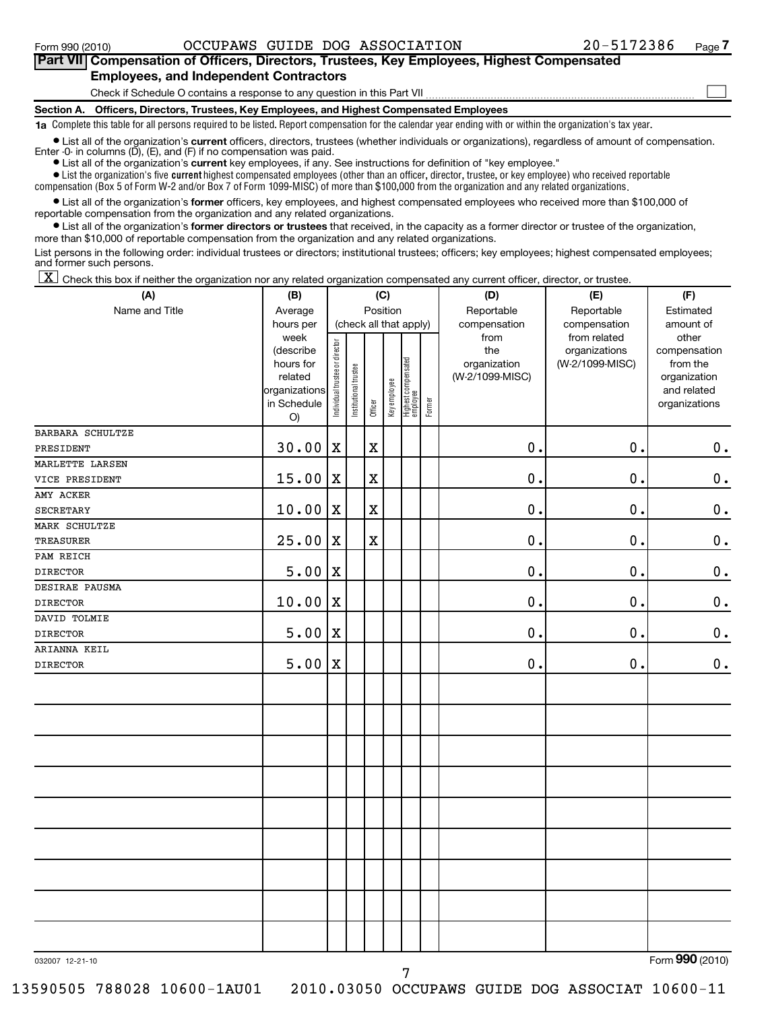### **Section A. Officers, Directors, Trustees, Key Employees, and Highest Compensated Employees** Check if Schedule O contains a response to any question in this Part VII **Part VII Compensation of Officers, Directors, Trustees, Key Employees, Highest Compensated Employees, and Independent Contractors**  $\sim$

**1a**  Complete this table for all persons required to be listed. Report compensation for the calendar year ending with or within the organization's tax year.

**•** List all of the organization's current officers, directors, trustees (whether individuals or organizations), regardless of amount of compensation. Enter -0- in columns  $(D)$ ,  $(E)$ , and  $(F)$  if no compensation was paid.

**•** List all of the organization's **current** key employees, if any. See instructions for definition of "key employee."

 $\bullet$  List the organization's five  $\tt current$  highest compensated employees (other than an officer, director, trustee, or key employee) who received reportable

compensation (Box 5 of Form W-2 and/or Box 7 of Form 1099-MISC) of more than \$100,000 from the organization and any related organizations .

 $\bullet$  List all of the organization's former officers, key employees, and highest compensated employees who received more than \$100,000 of reportable compensation from the organization and any related organizations.

**•** List all of the organization's former directors or trustees that received, in the capacity as a former director or trustee of the organization, more than \$10,000 of reportable compensation from the organization and any related organizations.

List persons in the following order: individual trustees or directors; institutional trustees; officers; key employees; highest compensated employees; and former such persons.

 $\boxed{\textbf{X}}$  Check this box if neither the organization nor any related organization compensated any current officer, director, or trustee.

| (A)              | (B)                                                                                          | (C)                            |                       |             |              | (D)                                                       | (E)    | (F)                                                            |                                                                  |                                                                                                |
|------------------|----------------------------------------------------------------------------------------------|--------------------------------|-----------------------|-------------|--------------|-----------------------------------------------------------|--------|----------------------------------------------------------------|------------------------------------------------------------------|------------------------------------------------------------------------------------------------|
| Name and Title   | Average                                                                                      | Position                       |                       |             |              |                                                           |        | Reportable                                                     | Reportable                                                       | Estimated                                                                                      |
|                  | hours per<br>week<br>(describe<br>hours for<br>related<br>organizations<br>in Schedule<br>O) | Individual trustee or director | Institutional trustee | Officer     | Key employee | (check all that apply)<br>Highest compensated<br>employee | Former | compensation<br>from<br>the<br>organization<br>(W-2/1099-MISC) | compensation<br>from related<br>organizations<br>(W-2/1099-MISC) | amount of<br>other<br>compensation<br>from the<br>organization<br>and related<br>organizations |
| BARBARA SCHULTZE |                                                                                              |                                |                       |             |              |                                                           |        |                                                                |                                                                  |                                                                                                |
| PRESIDENT        | 30.00                                                                                        | $\mathbf X$                    |                       | $\mathbf X$ |              |                                                           |        | $\mathbf 0$ .                                                  | 0.                                                               | $\mathbf 0$ .                                                                                  |
| MARLETTE LARSEN  |                                                                                              |                                |                       |             |              |                                                           |        |                                                                |                                                                  |                                                                                                |
| VICE PRESIDENT   | 15.00                                                                                        | $\mathbf X$                    |                       | $\mathbf X$ |              |                                                           |        | 0.                                                             | $\mathbf 0$ .                                                    | $\mathbf 0$ .                                                                                  |
| AMY ACKER        |                                                                                              |                                |                       |             |              |                                                           |        |                                                                |                                                                  |                                                                                                |
| <b>SECRETARY</b> | 10.00                                                                                        | X                              |                       | $\mathbf X$ |              |                                                           |        | 0.                                                             | 0.                                                               | $\mathbf 0$ .                                                                                  |
| MARK SCHULTZE    |                                                                                              |                                |                       |             |              |                                                           |        |                                                                |                                                                  |                                                                                                |
| <b>TREASURER</b> | 25.00                                                                                        | $\mathbf x$                    |                       | $\mathbf X$ |              |                                                           |        | 0.                                                             | $\mathbf 0$ .                                                    | $\boldsymbol{0}$ .                                                                             |
| PAM REICH        |                                                                                              |                                |                       |             |              |                                                           |        |                                                                |                                                                  |                                                                                                |
| <b>DIRECTOR</b>  | 5.00                                                                                         | X                              |                       |             |              |                                                           |        | $\mathbf 0$ .                                                  | 0.                                                               | $\mathbf 0$ .                                                                                  |
| DESIRAE PAUSMA   |                                                                                              |                                |                       |             |              |                                                           |        |                                                                |                                                                  |                                                                                                |
| <b>DIRECTOR</b>  | 10.00                                                                                        | X                              |                       |             |              |                                                           |        | 0.                                                             | 0.                                                               | $\mathbf 0$ .                                                                                  |
| DAVID TOLMIE     |                                                                                              |                                |                       |             |              |                                                           |        |                                                                |                                                                  |                                                                                                |
| <b>DIRECTOR</b>  | 5.00                                                                                         | X                              |                       |             |              |                                                           |        | 0.                                                             | $\mathbf 0$ .                                                    | $\mathbf 0$ .                                                                                  |
| ARIANNA KEIL     |                                                                                              |                                |                       |             |              |                                                           |        |                                                                |                                                                  |                                                                                                |
| <b>DIRECTOR</b>  | 5.00                                                                                         | $\mathbf X$                    |                       |             |              |                                                           |        | $\mathbf 0$ .                                                  | $\mathbf 0$ .                                                    | $\mathbf 0$ .                                                                                  |
|                  |                                                                                              |                                |                       |             |              |                                                           |        |                                                                |                                                                  |                                                                                                |
|                  |                                                                                              |                                |                       |             |              |                                                           |        |                                                                |                                                                  |                                                                                                |
|                  |                                                                                              |                                |                       |             |              |                                                           |        |                                                                |                                                                  |                                                                                                |
|                  |                                                                                              |                                |                       |             |              |                                                           |        |                                                                |                                                                  |                                                                                                |
|                  |                                                                                              |                                |                       |             |              |                                                           |        |                                                                |                                                                  |                                                                                                |
|                  |                                                                                              |                                |                       |             |              |                                                           |        |                                                                |                                                                  |                                                                                                |
|                  |                                                                                              |                                |                       |             |              |                                                           |        |                                                                |                                                                  |                                                                                                |
|                  |                                                                                              |                                |                       |             |              |                                                           |        |                                                                |                                                                  |                                                                                                |
| 032007 12-21-10  |                                                                                              |                                |                       |             |              |                                                           |        |                                                                |                                                                  | Form 990 (2010)                                                                                |

13590505 788028 10600-1AU01 2010.03050 OCCUPAWS GUIDE DOG ASSOCIAT 10600-11

Form (2010) **990**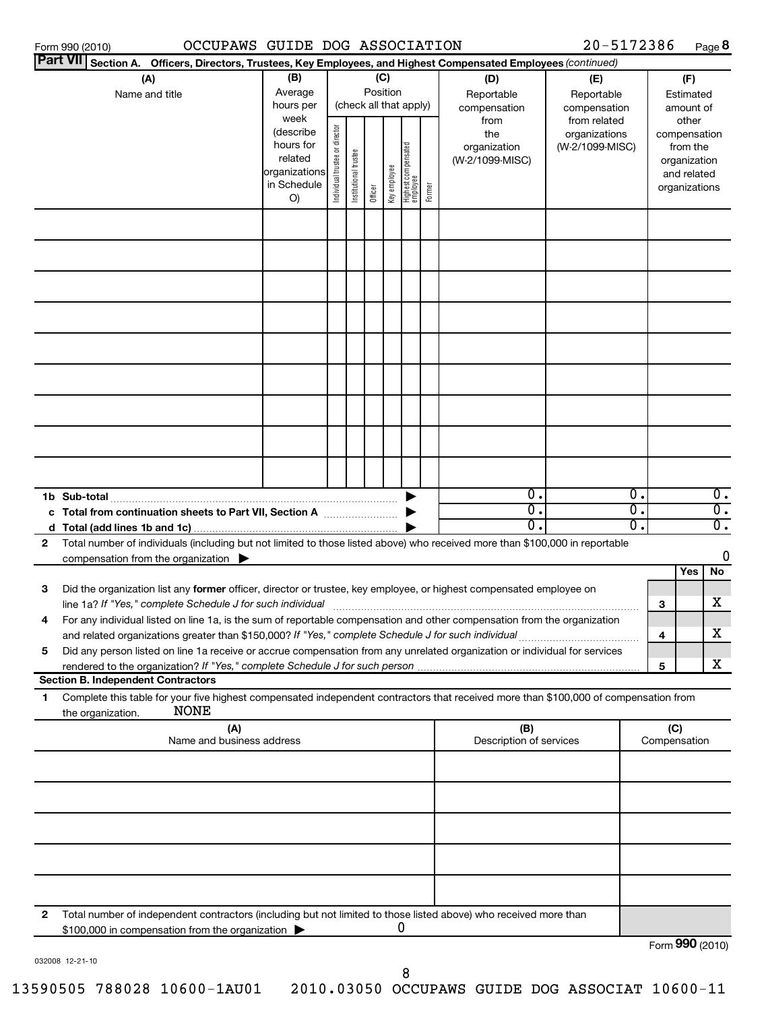| Part VII Section A. Officers, Directors, Trustees, Key Employees, and Highest Compensated Employees (continued)<br>(B)<br>(C)<br>(A)<br>(D)<br>(F)<br>(E)<br>Position<br>Average<br>Name and title<br>Reportable<br>Reportable<br>Estimated<br>(check all that apply)<br>hours per<br>compensation<br>amount of<br>compensation<br>week<br>from related<br>other<br>from<br>(describe<br>the<br>organizations<br>compensation<br>hours for |                             |
|--------------------------------------------------------------------------------------------------------------------------------------------------------------------------------------------------------------------------------------------------------------------------------------------------------------------------------------------------------------------------------------------------------------------------------------------|-----------------------------|
|                                                                                                                                                                                                                                                                                                                                                                                                                                            |                             |
|                                                                                                                                                                                                                                                                                                                                                                                                                                            |                             |
| Individual trustee or director<br>Highest compensated<br>employee<br>organization<br>(W-2/1099-MISC)<br>from the<br>Institutional trustee<br>related<br>(W-2/1099-MISC)<br>organization<br>Keyemployee<br>organizations<br>and related<br>in Schedule<br>Former<br>organizations<br>Officer<br>O)                                                                                                                                          |                             |
|                                                                                                                                                                                                                                                                                                                                                                                                                                            |                             |
|                                                                                                                                                                                                                                                                                                                                                                                                                                            |                             |
|                                                                                                                                                                                                                                                                                                                                                                                                                                            |                             |
|                                                                                                                                                                                                                                                                                                                                                                                                                                            |                             |
|                                                                                                                                                                                                                                                                                                                                                                                                                                            |                             |
|                                                                                                                                                                                                                                                                                                                                                                                                                                            |                             |
|                                                                                                                                                                                                                                                                                                                                                                                                                                            |                             |
| $\overline{0}$ .<br>$\overline{0}$ .                                                                                                                                                                                                                                                                                                                                                                                                       | $\overline{0}$ .            |
| σ.<br>$\overline{0}$ .<br>c Total from continuation sheets to Part VII, Section A                                                                                                                                                                                                                                                                                                                                                          | $\overline{\mathfrak{0}}$ . |
| σ.<br>σ.<br>Total number of individuals (including but not limited to those listed above) who received more than \$100,000 in reportable<br>$\mathbf{2}$                                                                                                                                                                                                                                                                                   | $\overline{\mathfrak{0}}$ . |
| compensation from the organization $\blacktriangleright$                                                                                                                                                                                                                                                                                                                                                                                   | 0                           |
| Yes<br>Did the organization list any former officer, director or trustee, key employee, or highest compensated employee on<br>3<br>line 1a? If "Yes," complete Schedule J for such individual<br>3                                                                                                                                                                                                                                         | No<br>х                     |
| For any individual listed on line 1a, is the sum of reportable compensation and other compensation from the organization<br>4<br>4                                                                                                                                                                                                                                                                                                         | х                           |
| Did any person listed on line 1a receive or accrue compensation from any unrelated organization or individual for services<br>5<br>5                                                                                                                                                                                                                                                                                                       | х                           |
| <b>Section B. Independent Contractors</b>                                                                                                                                                                                                                                                                                                                                                                                                  |                             |
| Complete this table for your five highest compensated independent contractors that received more than \$100,000 of compensation from<br>1<br><b>NONE</b><br>the organization.<br>(A)<br>(B)<br>(C)                                                                                                                                                                                                                                         |                             |
| Name and business address<br>Description of services<br>Compensation                                                                                                                                                                                                                                                                                                                                                                       |                             |
|                                                                                                                                                                                                                                                                                                                                                                                                                                            |                             |
|                                                                                                                                                                                                                                                                                                                                                                                                                                            |                             |
|                                                                                                                                                                                                                                                                                                                                                                                                                                            |                             |
| 2<br>Total number of independent contractors (including but not limited to those listed above) who received more than                                                                                                                                                                                                                                                                                                                      |                             |
| 0<br>\$100,000 in compensation from the organization<br>Form 990 (2010)                                                                                                                                                                                                                                                                                                                                                                    |                             |

032008 12-21-10

Form **990** (2010)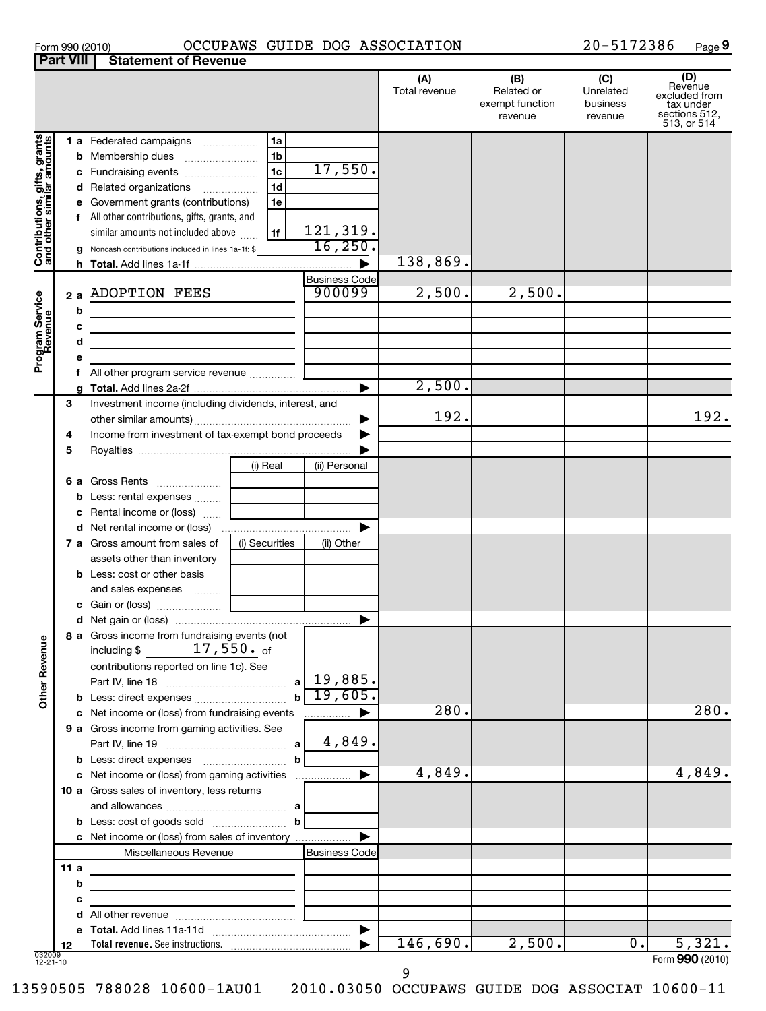## Form 990 (2010) OCCUPAWS GUIDE DOG ASSOCIATION 2 0-5172386 Page

**9**

|                                                           | <b>Part VIII</b> | <b>Statement of Revenue</b>                                                                                                                                                                                                                                                                                                               |                                 |                      |                                                 |                                         |                                                                              |
|-----------------------------------------------------------|------------------|-------------------------------------------------------------------------------------------------------------------------------------------------------------------------------------------------------------------------------------------------------------------------------------------------------------------------------------------|---------------------------------|----------------------|-------------------------------------------------|-----------------------------------------|------------------------------------------------------------------------------|
|                                                           |                  |                                                                                                                                                                                                                                                                                                                                           |                                 | (A)<br>Total revenue | (B)<br>Related or<br>exempt function<br>revenue | (C)<br>Unrelated<br>business<br>revenue | (D)<br>Revenue<br>excluded from<br>tax under<br>sections 512,<br>513, or 514 |
| Contributions, gifts, grants<br>and other similar amounts |                  | 1a<br>1 a Federated campaigns<br>1b<br><b>b</b> Membership dues<br>1c<br>c Fundraising events<br>1 <sub>d</sub><br>d Related organizations<br>e Government grants (contributions)<br>1e<br>All other contributions, gifts, grants, and<br>similar amounts not included above<br>1f<br>g Noncash contributions included in lines 1a-1f: \$ | 17,550.<br>121,319.<br>16, 250. | 138,869.             |                                                 |                                         |                                                                              |
|                                                           |                  |                                                                                                                                                                                                                                                                                                                                           | <b>Business Code</b>            |                      |                                                 |                                         |                                                                              |
| Program Service<br>Revenue                                | b                | 2 a ADOPTION FEES<br><u> 1980 - Jan Stein Stein, fransk politik (f. 1980)</u>                                                                                                                                                                                                                                                             | 900099                          | 2,500.               | 2,500.                                          |                                         |                                                                              |
|                                                           | c                | <u> 1989 - Johann Harry Harry Harry Harry Harry Harry Harry Harry Harry Harry Harry Harry Harry Harry Harry Harry</u>                                                                                                                                                                                                                     |                                 |                      |                                                 |                                         |                                                                              |
|                                                           | d                | the control of the control of the control of the control of the control of the control of                                                                                                                                                                                                                                                 |                                 |                      |                                                 |                                         |                                                                              |
|                                                           |                  |                                                                                                                                                                                                                                                                                                                                           |                                 |                      |                                                 |                                         |                                                                              |
|                                                           |                  | f All other program service revenue                                                                                                                                                                                                                                                                                                       |                                 |                      |                                                 |                                         |                                                                              |
|                                                           |                  |                                                                                                                                                                                                                                                                                                                                           |                                 | 2,500.               |                                                 |                                         |                                                                              |
|                                                           | з<br>4           | Investment income (including dividends, interest, and<br>Income from investment of tax-exempt bond proceeds                                                                                                                                                                                                                               | ▶                               | 192.                 |                                                 |                                         | 192.                                                                         |
|                                                           | 5                |                                                                                                                                                                                                                                                                                                                                           |                                 |                      |                                                 |                                         |                                                                              |
|                                                           |                  | (i) Real<br>6 a Gross Rents                                                                                                                                                                                                                                                                                                               | (ii) Personal                   |                      |                                                 |                                         |                                                                              |
|                                                           |                  | <b>b</b> Less: rental expenses<br>c Rental income or (loss)                                                                                                                                                                                                                                                                               |                                 |                      |                                                 |                                         |                                                                              |
|                                                           |                  |                                                                                                                                                                                                                                                                                                                                           |                                 |                      |                                                 |                                         |                                                                              |
|                                                           |                  | <b>7 a</b> Gross amount from sales of<br>(i) Securities                                                                                                                                                                                                                                                                                   | (ii) Other                      |                      |                                                 |                                         |                                                                              |
|                                                           |                  | assets other than inventory                                                                                                                                                                                                                                                                                                               |                                 |                      |                                                 |                                         |                                                                              |
|                                                           |                  | <b>b</b> Less: cost or other basis<br>and sales expenses                                                                                                                                                                                                                                                                                  |                                 |                      |                                                 |                                         |                                                                              |
|                                                           |                  |                                                                                                                                                                                                                                                                                                                                           |                                 |                      |                                                 |                                         |                                                                              |
| <b>Other Revenue</b>                                      |                  | 8 a Gross income from fundraising events (not<br>$17$ ,550. $_{\rm of}$<br>including \$<br>contributions reported on line 1c). See                                                                                                                                                                                                        |                                 |                      |                                                 |                                         |                                                                              |
|                                                           |                  | a                                                                                                                                                                                                                                                                                                                                         | 19,885.                         |                      |                                                 |                                         |                                                                              |
|                                                           |                  | <b>b</b> Less: direct expenses                                                                                                                                                                                                                                                                                                            | 19,605.                         |                      |                                                 |                                         |                                                                              |
|                                                           |                  | c Net income or (loss) from fundraising events                                                                                                                                                                                                                                                                                            | .                               | 280.                 |                                                 |                                         | 280.                                                                         |
|                                                           |                  | 9 a Gross income from gaming activities. See<br>a                                                                                                                                                                                                                                                                                         | 4,849.                          |                      |                                                 |                                         |                                                                              |
|                                                           |                  | b<br>c Net income or (loss) from gaming activities                                                                                                                                                                                                                                                                                        | ▶                               | 4,849.               |                                                 |                                         | 4,849.                                                                       |
|                                                           |                  | 10 a Gross sales of inventory, less returns                                                                                                                                                                                                                                                                                               |                                 |                      |                                                 |                                         |                                                                              |
|                                                           |                  |                                                                                                                                                                                                                                                                                                                                           |                                 |                      |                                                 |                                         |                                                                              |
|                                                           |                  | $\mathbf b$                                                                                                                                                                                                                                                                                                                               |                                 |                      |                                                 |                                         |                                                                              |
|                                                           |                  | c Net income or (loss) from sales of inventory                                                                                                                                                                                                                                                                                            |                                 |                      |                                                 |                                         |                                                                              |
|                                                           |                  | Miscellaneous Revenue                                                                                                                                                                                                                                                                                                                     | <b>Business Code</b>            |                      |                                                 |                                         |                                                                              |
|                                                           | 11 a             | the control of the control of the control of the control of                                                                                                                                                                                                                                                                               |                                 |                      |                                                 |                                         |                                                                              |
|                                                           | b                |                                                                                                                                                                                                                                                                                                                                           |                                 |                      |                                                 |                                         |                                                                              |
|                                                           | C                |                                                                                                                                                                                                                                                                                                                                           |                                 |                      |                                                 |                                         |                                                                              |
|                                                           |                  |                                                                                                                                                                                                                                                                                                                                           | ▶                               |                      |                                                 |                                         |                                                                              |
|                                                           | 12               |                                                                                                                                                                                                                                                                                                                                           |                                 | 146,690.             | 2,500.                                          | $\overline{0}$ .                        | 5,321.                                                                       |
| 032009<br>$12 - 21 - 10$                                  |                  |                                                                                                                                                                                                                                                                                                                                           |                                 |                      |                                                 |                                         | Form 990 (2010)                                                              |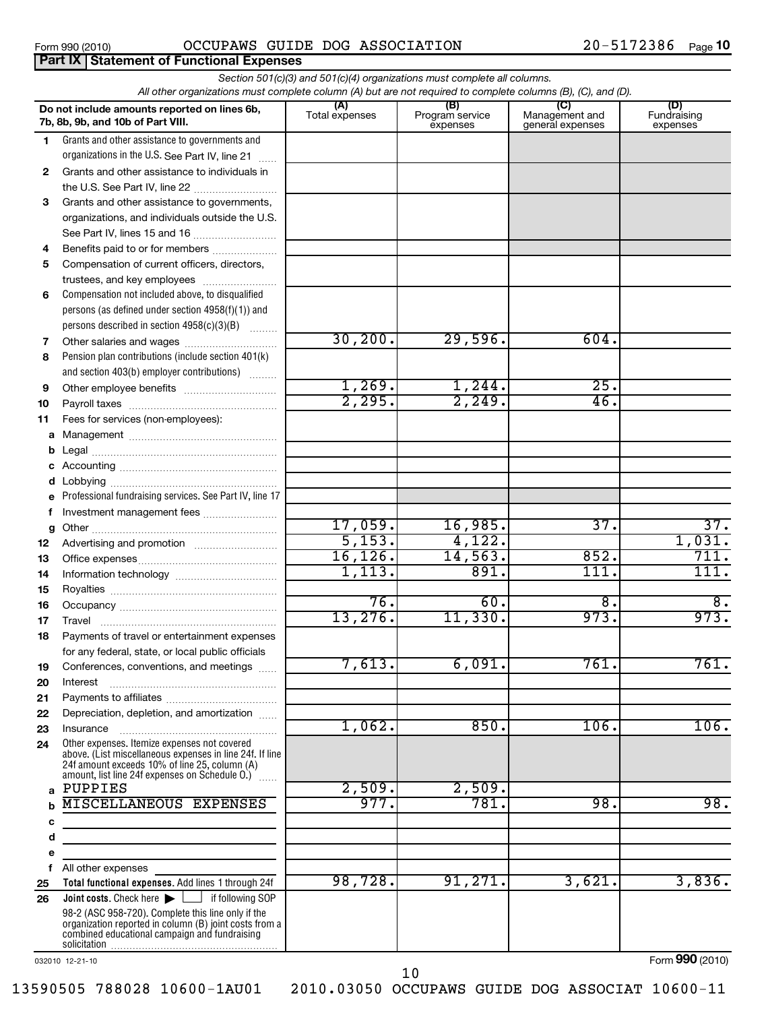**Part IX | Statement of Functional Expenses** 

### Form 990 (2010) OCCUPAWS GUIDE DOG ASSOCIATION 2 0-5172386 Page

|              | All other organizations must complete column (A) but are not required to complete columns (B), (C), and (D). | Section 501(c)(3) and 501(c)(4) organizations must complete all columns. |                                    |                                           |                                |
|--------------|--------------------------------------------------------------------------------------------------------------|--------------------------------------------------------------------------|------------------------------------|-------------------------------------------|--------------------------------|
|              | Do not include amounts reported on lines 6b,<br>7b, 8b, 9b, and 10b of Part VIII.                            | (A)<br>Total expenses                                                    | (B)<br>Program service<br>expenses | (C)<br>Management and<br>general expenses | (D)<br>Fundraising<br>expenses |
| 1            | Grants and other assistance to governments and                                                               |                                                                          |                                    |                                           |                                |
|              | organizations in the U.S. See Part IV, line 21                                                               |                                                                          |                                    |                                           |                                |
| $\mathbf{2}$ | Grants and other assistance to individuals in                                                                |                                                                          |                                    |                                           |                                |
|              | the U.S. See Part IV, line 22                                                                                |                                                                          |                                    |                                           |                                |
| 3            | Grants and other assistance to governments,                                                                  |                                                                          |                                    |                                           |                                |
|              | organizations, and individuals outside the U.S.                                                              |                                                                          |                                    |                                           |                                |
|              |                                                                                                              |                                                                          |                                    |                                           |                                |
| 4            | Benefits paid to or for members                                                                              |                                                                          |                                    |                                           |                                |
| 5            | Compensation of current officers, directors,                                                                 |                                                                          |                                    |                                           |                                |
|              | trustees, and key employees                                                                                  |                                                                          |                                    |                                           |                                |
| 6            | Compensation not included above, to disqualified                                                             |                                                                          |                                    |                                           |                                |
|              | persons (as defined under section 4958(f)(1)) and                                                            |                                                                          |                                    |                                           |                                |
|              | persons described in section 4958(c)(3)(B)                                                                   | 30, 200.                                                                 | 29,596.                            | 604.                                      |                                |
| 7            | Other salaries and wages                                                                                     |                                                                          |                                    |                                           |                                |
| 8            | Pension plan contributions (include section 401(k)<br>and section 403(b) employer contributions)             |                                                                          |                                    |                                           |                                |
|              |                                                                                                              | 1,269.                                                                   | 1,244.                             | 25.                                       |                                |
| 9            |                                                                                                              | 2,295.                                                                   | 2,249.                             | 46.                                       |                                |
| 10<br>11     | Fees for services (non-employees):                                                                           |                                                                          |                                    |                                           |                                |
| а            |                                                                                                              |                                                                          |                                    |                                           |                                |
| b            |                                                                                                              |                                                                          |                                    |                                           |                                |
| c            |                                                                                                              |                                                                          |                                    |                                           |                                |
| d            |                                                                                                              |                                                                          |                                    |                                           |                                |
| e            | Professional fundraising services. See Part IV, line 17                                                      |                                                                          |                                    |                                           |                                |
| f            | Investment management fees                                                                                   |                                                                          |                                    |                                           |                                |
| g            |                                                                                                              | 17,059.                                                                  | 16,985.                            | 37.                                       | 37.                            |
| 12           |                                                                                                              | 5,153.                                                                   | 4,122.                             |                                           | 1,031.                         |
| 13           |                                                                                                              | 16, 126.                                                                 | 14,563.                            | 852.                                      | 711.                           |
| 14           |                                                                                                              | 1,113.                                                                   | 891.                               | 111                                       | 111.                           |
| 15           |                                                                                                              |                                                                          |                                    |                                           |                                |
| 16           |                                                                                                              | 76.                                                                      | 60.                                | $\overline{8}$ .                          | 8.                             |
| 17           | Travel                                                                                                       | 13,276.                                                                  | 11,330.                            | 973.                                      | 973.                           |
| 18           | Payments of travel or entertainment expenses                                                                 |                                                                          |                                    |                                           |                                |
|              | for any federal, state, or local public officials                                                            |                                                                          | 6,091.                             |                                           |                                |
| 19           | Conferences, conventions, and meetings                                                                       | 7,613.                                                                   |                                    | 761.                                      | 761.                           |
| 20           | Interest                                                                                                     |                                                                          |                                    |                                           |                                |
| 21           |                                                                                                              |                                                                          |                                    |                                           |                                |
| 22           | Depreciation, depletion, and amortization                                                                    | 1,062.                                                                   | 850.                               | 106.                                      | 106.                           |
| 23<br>24     | Insurance<br>Other expenses. Itemize expenses not covered                                                    |                                                                          |                                    |                                           |                                |
|              | above. (List miscellaneous expenses in line 24f. If line                                                     |                                                                          |                                    |                                           |                                |
|              | 24f amount exceeds 10% of line 25, column (A)<br>amount, list line 24f expenses on Schedule O.) [            |                                                                          |                                    |                                           |                                |
| a            | PUPPIES                                                                                                      | 2,509.                                                                   | 2,509.                             |                                           |                                |
| b            | <b>MISCELLANEOUS EXPENSES</b>                                                                                | 977.                                                                     | 781.                               | 98.                                       | 98.                            |
| с            | the control of the control of the control of the control of the control of                                   |                                                                          |                                    |                                           |                                |
| d            |                                                                                                              |                                                                          |                                    |                                           |                                |
| e            |                                                                                                              |                                                                          |                                    |                                           |                                |
| f            | All other expenses                                                                                           |                                                                          |                                    |                                           |                                |
| 25           | Total functional expenses. Add lines 1 through 24f                                                           | 98,728.                                                                  | 91,271.                            | 3,621.                                    | 3,836.                         |
| 26           | <b>Joint costs.</b> Check here $\blacktriangleright$ $\Box$ if following SOP                                 |                                                                          |                                    |                                           |                                |
|              | 98-2 (ASC 958-720). Complete this line only if the<br>organization reported in column (B) joint costs from a |                                                                          |                                    |                                           |                                |
|              | combined educational campaign and fundraising                                                                |                                                                          |                                    |                                           |                                |
|              |                                                                                                              |                                                                          |                                    |                                           |                                |

032010 12-21-10

Form (2010) **990**

10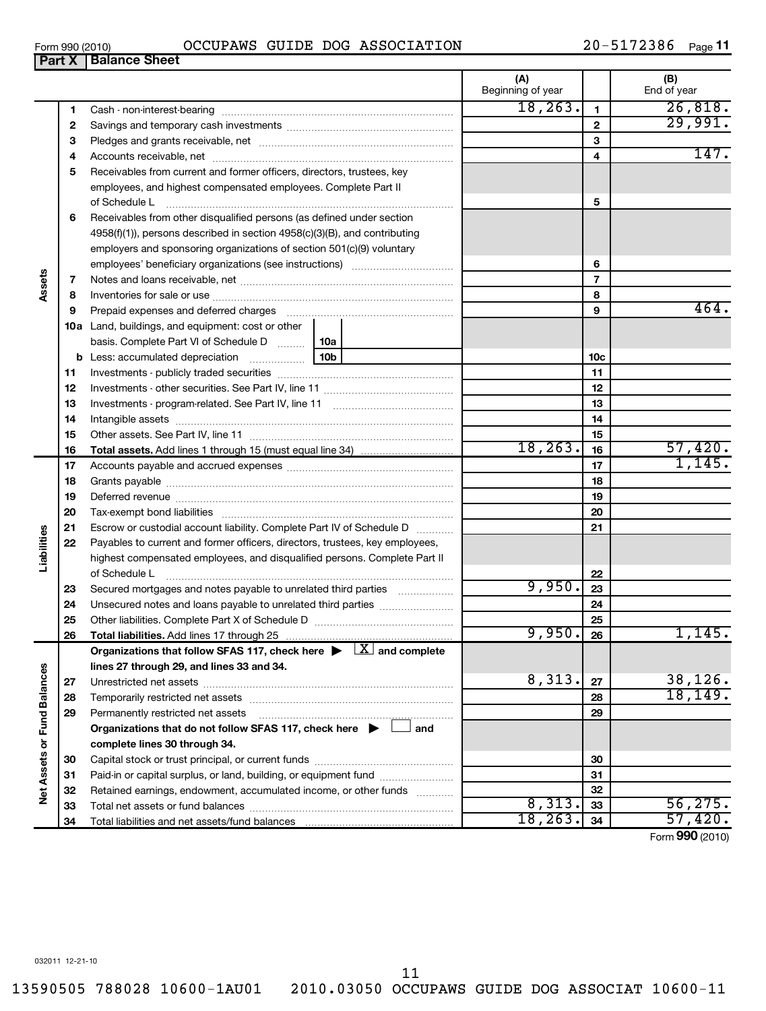$\overline{\phantom{0}}$ 

| Form 990 (2010) |                        | <b>OCCUPAWS</b> | GUIDE | DOG | ASSOCIATION |    | 2386 | Page |
|-----------------|------------------------|-----------------|-------|-----|-------------|----|------|------|
| <b>Part X</b>   | <b>∣ Balance Sheet</b> |                 |       |     |             |    |      |      |
|                 |                        |                 |       |     |             | 1Л | (B)  |      |

|                             |    |                                                                                          | (A)<br>Beginning of year |                 | (B)<br>End of year |
|-----------------------------|----|------------------------------------------------------------------------------------------|--------------------------|-----------------|--------------------|
|                             | 1  |                                                                                          | 18, 263.                 | $\mathbf{1}$    | 26,818.            |
|                             | 2  |                                                                                          |                          | $\mathbf{2}$    | 29,991.            |
|                             | 3  |                                                                                          |                          | 3               |                    |
|                             | 4  |                                                                                          |                          | 4               | 147.               |
|                             | 5  | Receivables from current and former officers, directors, trustees, key                   |                          |                 |                    |
|                             |    | employees, and highest compensated employees. Complete Part II                           |                          |                 |                    |
|                             |    | of Schedule L                                                                            |                          | 5               |                    |
|                             | 6  | Receivables from other disqualified persons (as defined under section                    |                          |                 |                    |
|                             |    | 4958(f)(1)), persons described in section 4958(c)(3)(B), and contributing                |                          |                 |                    |
|                             |    | employers and sponsoring organizations of section 501(c)(9) voluntary                    |                          |                 |                    |
|                             |    |                                                                                          |                          | 6               |                    |
|                             | 7  |                                                                                          |                          | $\overline{7}$  |                    |
| Assets                      | 8  |                                                                                          |                          | 8               |                    |
|                             | 9  |                                                                                          |                          | 9               | 464.               |
|                             |    | 10a Land, buildings, and equipment: cost or other                                        |                          |                 |                    |
|                             |    | basis. Complete Part VI of Schedule D    10a                                             |                          |                 |                    |
|                             |    | <b>b</b> Less: accumulated depreciation $\ldots$ 10b                                     |                          | 10 <sub>c</sub> |                    |
|                             | 11 |                                                                                          |                          | 11              |                    |
|                             | 12 |                                                                                          |                          | 12              |                    |
|                             | 13 |                                                                                          |                          | 13              |                    |
|                             | 14 |                                                                                          |                          | 14              |                    |
|                             | 15 |                                                                                          |                          | 15              |                    |
|                             | 16 |                                                                                          | 18, 263.                 | 16              | $57,420$ .         |
|                             | 17 |                                                                                          |                          | 17              |                    |
|                             | 18 |                                                                                          |                          | 18              |                    |
|                             | 19 |                                                                                          |                          | 19              |                    |
|                             | 20 |                                                                                          |                          | 20              |                    |
|                             | 21 | Escrow or custodial account liability. Complete Part IV of Schedule D                    |                          | 21              |                    |
| Liabilities                 | 22 | Payables to current and former officers, directors, trustees, key employees,             |                          |                 |                    |
|                             |    | highest compensated employees, and disqualified persons. Complete Part II                |                          |                 |                    |
|                             |    | of Schedule L                                                                            |                          | 22              |                    |
|                             | 23 | Secured mortgages and notes payable to unrelated third parties                           | 9,950.                   | 23              |                    |
|                             | 24 |                                                                                          |                          | 24              |                    |
|                             | 25 |                                                                                          |                          | 25              |                    |
|                             | 26 |                                                                                          | 9,950.                   | 26              | 1,145.             |
|                             |    | Organizations that follow SFAS 117, check here $\blacktriangleright \Box$ and complete   |                          |                 |                    |
|                             |    | lines 27 through 29, and lines 33 and 34.                                                |                          |                 |                    |
|                             | 27 |                                                                                          | 8,313.                   | 27              | 38,126.            |
|                             | 28 |                                                                                          |                          | 28              | 18, 149.           |
|                             | 29 | Permanently restricted net assets                                                        |                          | 29              |                    |
|                             |    | Organizations that do not follow SFAS 117, check here $\blacktriangleright \perp$<br>and |                          |                 |                    |
|                             |    | complete lines 30 through 34.                                                            |                          |                 |                    |
|                             | 30 |                                                                                          |                          | 30              |                    |
|                             | 31 | Paid-in or capital surplus, or land, building, or equipment fund                         |                          | 31              |                    |
| Net Assets or Fund Balances | 32 | Retained earnings, endowment, accumulated income, or other funds                         |                          | 32              |                    |
|                             | 33 |                                                                                          | 8,313.                   | 33              | 56, 275.           |
|                             | 34 |                                                                                          | 18, 263.                 | 34              | 57,420.            |
|                             |    |                                                                                          |                          |                 | Form 990 (2010)    |

11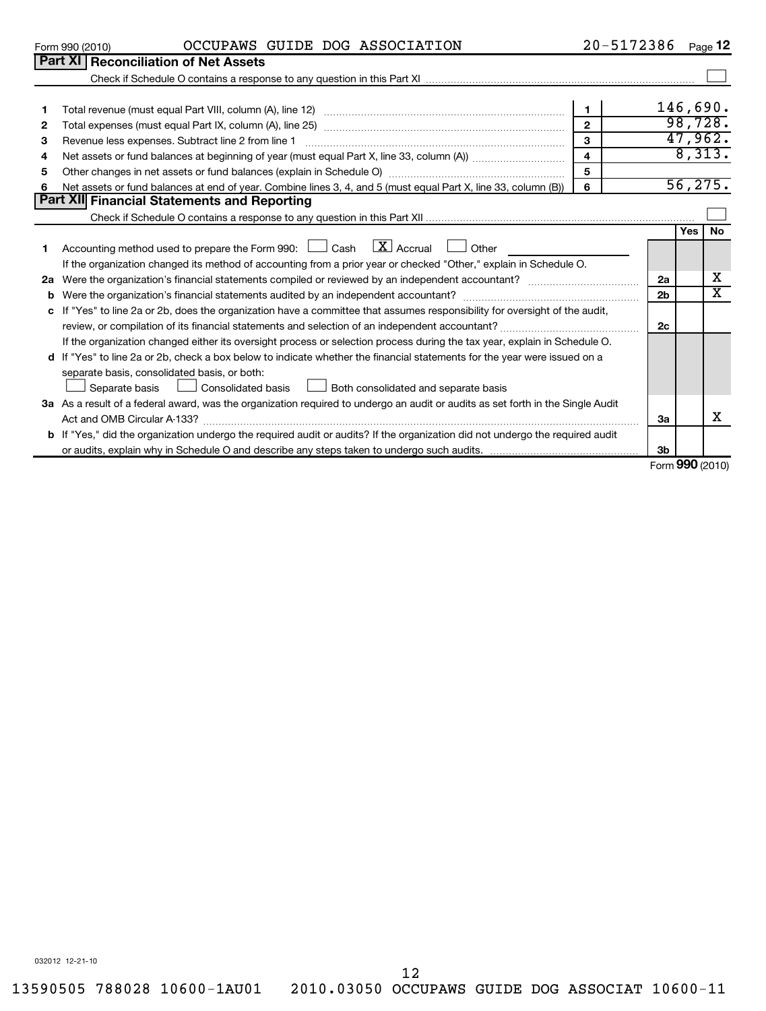| 032012 12-21-10 |
|-----------------|
|                 |

Form 990 (2010)

|                        | OCCUPAWS GUIDE DOG ASSOCIATION | 20-5172386 |
|------------------------|--------------------------------|------------|
| iliation of Not Accotc |                                |            |

| $20 - 5172386$ Page 12 |
|------------------------|
|------------------------|

|                                                                                                                   | <b>Part XI Reconciliation of Net Assets</b>                                                                                          |                         |    |            |           |  |  |  |
|-------------------------------------------------------------------------------------------------------------------|--------------------------------------------------------------------------------------------------------------------------------------|-------------------------|----|------------|-----------|--|--|--|
|                                                                                                                   |                                                                                                                                      |                         |    |            |           |  |  |  |
|                                                                                                                   |                                                                                                                                      |                         |    | 146,690.   |           |  |  |  |
| 1.                                                                                                                | $\blacksquare$                                                                                                                       |                         |    |            |           |  |  |  |
| $\mathbf{2}$                                                                                                      |                                                                                                                                      | $\overline{2}$          |    | 98,728.    |           |  |  |  |
| 3                                                                                                                 |                                                                                                                                      | $\mathbf{a}$            |    | 47,962.    |           |  |  |  |
| 4                                                                                                                 |                                                                                                                                      | $\overline{\mathbf{4}}$ |    | 8,313.     |           |  |  |  |
| 5                                                                                                                 | Other changes in net assets or fund balances (explain in Schedule O) manufactured controller than general controller                 | 5                       |    |            |           |  |  |  |
| 6                                                                                                                 | Net assets or fund balances at end of year. Combine lines 3, 4, and 5 (must equal Part X, line 33, column (B))                       | 6                       |    | 56, 275.   |           |  |  |  |
|                                                                                                                   | <b>Part XII Financial Statements and Reporting</b>                                                                                   |                         |    |            |           |  |  |  |
|                                                                                                                   |                                                                                                                                      |                         |    |            |           |  |  |  |
|                                                                                                                   |                                                                                                                                      |                         |    | <b>Yes</b> | <b>No</b> |  |  |  |
| 1.                                                                                                                | Accounting method used to prepare the Form 990: $\Box$ Cash $\Box X$ Accrual $\Box$ Other                                            |                         |    |            |           |  |  |  |
| If the organization changed its method of accounting from a prior year or checked "Other," explain in Schedule O. |                                                                                                                                      |                         |    |            |           |  |  |  |
|                                                                                                                   | 2a                                                                                                                                   |                         |    |            |           |  |  |  |
| b                                                                                                                 |                                                                                                                                      |                         |    |            |           |  |  |  |
| c                                                                                                                 | If "Yes" to line 2a or 2b, does the organization have a committee that assumes responsibility for oversight of the audit,            |                         |    |            |           |  |  |  |
|                                                                                                                   |                                                                                                                                      |                         | 2c |            |           |  |  |  |
|                                                                                                                   | If the organization changed either its oversight process or selection process during the tax year, explain in Schedule O.            |                         |    |            |           |  |  |  |
|                                                                                                                   | d If "Yes" to line 2a or 2b, check a box below to indicate whether the financial statements for the year were issued on a            |                         |    |            |           |  |  |  |
|                                                                                                                   | separate basis, consolidated basis, or both:                                                                                         |                         |    |            |           |  |  |  |
|                                                                                                                   | Consolidated basis $\Box$ Both consolidated and separate basis<br>Separate basis L                                                   |                         |    |            |           |  |  |  |
|                                                                                                                   | 3a As a result of a federal award, was the organization required to undergo an audit or audits as set forth in the Single Audit      |                         |    |            |           |  |  |  |
|                                                                                                                   | Act and OMB Circular A-133?                                                                                                          |                         | За |            | x         |  |  |  |
|                                                                                                                   | <b>b</b> If "Yes," did the organization undergo the required audit or audits? If the organization did not undergo the required audit |                         |    |            |           |  |  |  |
|                                                                                                                   |                                                                                                                                      |                         | 3b |            |           |  |  |  |

Form (2010) **990**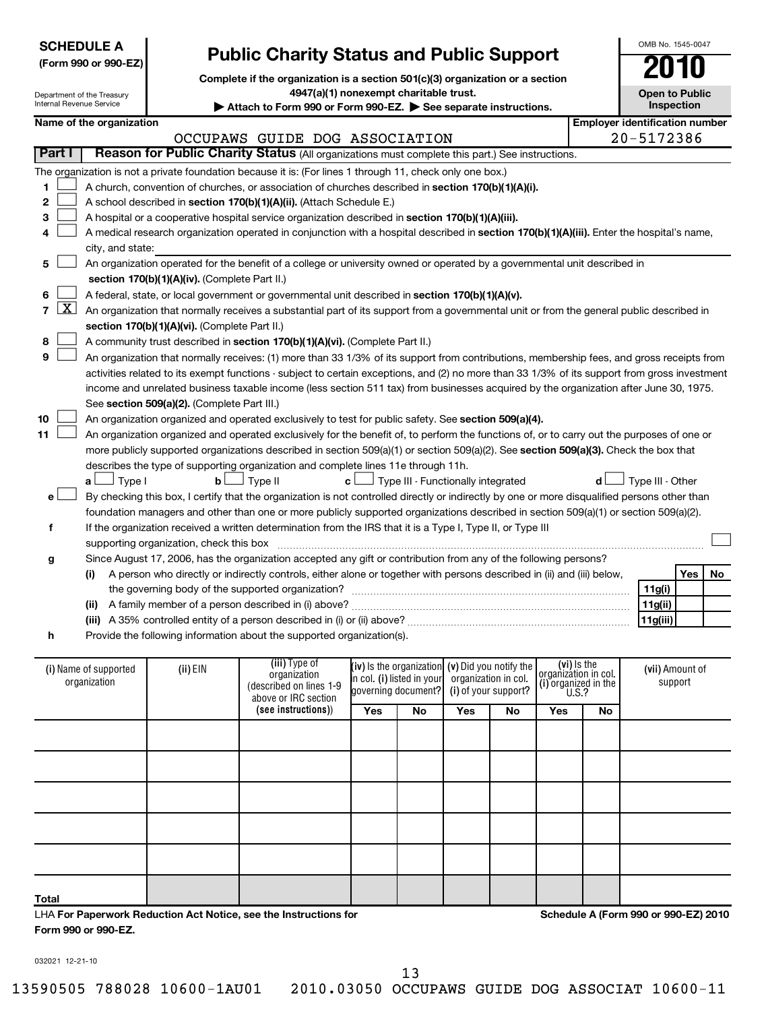|                            | <b>SCHEDULE A</b><br>(Form 990 or 990-EZ) |                                                                                                                                            | <b>Public Charity Status and Public Support</b>                                                                                                                                                                           |                     |                                                   |                      |                      |                                     |                                       | OMB No. 1545-0047     |            |    |
|----------------------------|-------------------------------------------|--------------------------------------------------------------------------------------------------------------------------------------------|---------------------------------------------------------------------------------------------------------------------------------------------------------------------------------------------------------------------------|---------------------|---------------------------------------------------|----------------------|----------------------|-------------------------------------|---------------------------------------|-----------------------|------------|----|
| Internal Revenue Service   | Department of the Treasury                |                                                                                                                                            | Complete if the organization is a section 501(c)(3) organization or a section<br>4947(a)(1) nonexempt charitable trust.<br>Attach to Form 990 or Form 990-EZ. See separate instructions.                                  |                     |                                                   |                      |                      |                                     |                                       | <b>Open to Public</b> | Inspection |    |
|                            | Name of the organization                  |                                                                                                                                            |                                                                                                                                                                                                                           |                     |                                                   |                      |                      |                                     | <b>Employer identification number</b> |                       |            |    |
|                            |                                           |                                                                                                                                            | OCCUPAWS GUIDE DOG ASSOCIATION                                                                                                                                                                                            |                     |                                                   |                      |                      |                                     |                                       | 20-5172386            |            |    |
| Part I                     |                                           |                                                                                                                                            | Reason for Public Charity Status (All organizations must complete this part.) See instructions.                                                                                                                           |                     |                                                   |                      |                      |                                     |                                       |                       |            |    |
|                            |                                           |                                                                                                                                            | The organization is not a private foundation because it is: (For lines 1 through 11, check only one box.)                                                                                                                 |                     |                                                   |                      |                      |                                     |                                       |                       |            |    |
| 1                          |                                           |                                                                                                                                            | A church, convention of churches, or association of churches described in section 170(b)(1)(A)(i).                                                                                                                        |                     |                                                   |                      |                      |                                     |                                       |                       |            |    |
| 2                          |                                           | A school described in section 170(b)(1)(A)(ii). (Attach Schedule E.)                                                                       |                                                                                                                                                                                                                           |                     |                                                   |                      |                      |                                     |                                       |                       |            |    |
| З                          |                                           |                                                                                                                                            | A hospital or a cooperative hospital service organization described in section 170(b)(1)(A)(iii).                                                                                                                         |                     |                                                   |                      |                      |                                     |                                       |                       |            |    |
| 4                          |                                           | A medical research organization operated in conjunction with a hospital described in section 170(b)(1)(A)(iii). Enter the hospital's name, |                                                                                                                                                                                                                           |                     |                                                   |                      |                      |                                     |                                       |                       |            |    |
|                            | city, and state:                          |                                                                                                                                            |                                                                                                                                                                                                                           |                     |                                                   |                      |                      |                                     |                                       |                       |            |    |
| 5                          |                                           |                                                                                                                                            | An organization operated for the benefit of a college or university owned or operated by a governmental unit described in                                                                                                 |                     |                                                   |                      |                      |                                     |                                       |                       |            |    |
|                            |                                           | section 170(b)(1)(A)(iv). (Complete Part II.)                                                                                              |                                                                                                                                                                                                                           |                     |                                                   |                      |                      |                                     |                                       |                       |            |    |
| 6                          |                                           |                                                                                                                                            | A federal, state, or local government or governmental unit described in section 170(b)(1)(A)(v).                                                                                                                          |                     |                                                   |                      |                      |                                     |                                       |                       |            |    |
| <u>x</u><br>$\overline{7}$ |                                           |                                                                                                                                            | An organization that normally receives a substantial part of its support from a governmental unit or from the general public described in                                                                                 |                     |                                                   |                      |                      |                                     |                                       |                       |            |    |
|                            |                                           | section 170(b)(1)(A)(vi). (Complete Part II.)                                                                                              |                                                                                                                                                                                                                           |                     |                                                   |                      |                      |                                     |                                       |                       |            |    |
| 8                          |                                           |                                                                                                                                            | A community trust described in section 170(b)(1)(A)(vi). (Complete Part II.)                                                                                                                                              |                     |                                                   |                      |                      |                                     |                                       |                       |            |    |
| 9                          |                                           |                                                                                                                                            | An organization that normally receives: (1) more than 33 1/3% of its support from contributions, membership fees, and gross receipts from                                                                                 |                     |                                                   |                      |                      |                                     |                                       |                       |            |    |
|                            |                                           |                                                                                                                                            | activities related to its exempt functions - subject to certain exceptions, and (2) no more than 33 1/3% of its support from gross investment                                                                             |                     |                                                   |                      |                      |                                     |                                       |                       |            |    |
|                            |                                           |                                                                                                                                            | income and unrelated business taxable income (less section 511 tax) from businesses acquired by the organization after June 30, 1975.                                                                                     |                     |                                                   |                      |                      |                                     |                                       |                       |            |    |
|                            |                                           | See section 509(a)(2). (Complete Part III.)                                                                                                |                                                                                                                                                                                                                           |                     |                                                   |                      |                      |                                     |                                       |                       |            |    |
| 10                         |                                           |                                                                                                                                            | An organization organized and operated exclusively to test for public safety. See section 509(a)(4).                                                                                                                      |                     |                                                   |                      |                      |                                     |                                       |                       |            |    |
| 11                         |                                           |                                                                                                                                            | An organization organized and operated exclusively for the benefit of, to perform the functions of, or to carry out the purposes of one or                                                                                |                     |                                                   |                      |                      |                                     |                                       |                       |            |    |
|                            |                                           |                                                                                                                                            | more publicly supported organizations described in section 509(a)(1) or section 509(a)(2). See section 509(a)(3). Check the box that<br>describes the type of supporting organization and complete lines 11e through 11h. |                     |                                                   |                      |                      |                                     |                                       |                       |            |    |
|                            | ∣ Type I<br>a L                           | b <sub>l</sub>                                                                                                                             | J Type II                                                                                                                                                                                                                 | c L                 | Type III - Functionally integrated                |                      |                      |                                     | d l                                   | Type III - Other      |            |    |
| e۱                         |                                           |                                                                                                                                            | By checking this box, I certify that the organization is not controlled directly or indirectly by one or more disqualified persons other than                                                                             |                     |                                                   |                      |                      |                                     |                                       |                       |            |    |
|                            |                                           |                                                                                                                                            | foundation managers and other than one or more publicly supported organizations described in section 509(a)(1) or section 509(a)(2).                                                                                      |                     |                                                   |                      |                      |                                     |                                       |                       |            |    |
| f                          |                                           |                                                                                                                                            | If the organization received a written determination from the IRS that it is a Type I, Type II, or Type III                                                                                                               |                     |                                                   |                      |                      |                                     |                                       |                       |            |    |
|                            |                                           | supporting organization, check this box                                                                                                    |                                                                                                                                                                                                                           |                     |                                                   |                      |                      |                                     |                                       |                       |            |    |
| g                          |                                           |                                                                                                                                            | Since August 17, 2006, has the organization accepted any gift or contribution from any of the following persons?                                                                                                          |                     |                                                   |                      |                      |                                     |                                       |                       |            |    |
|                            | (i)                                       |                                                                                                                                            | A person who directly or indirectly controls, either alone or together with persons described in (ii) and (iii) below,                                                                                                    |                     |                                                   |                      |                      |                                     |                                       |                       | Yes        | No |
|                            |                                           |                                                                                                                                            | the governing body of the supported organization?                                                                                                                                                                         |                     |                                                   |                      |                      |                                     |                                       | 11g(i)                |            |    |
|                            | (ii)                                      |                                                                                                                                            |                                                                                                                                                                                                                           |                     |                                                   |                      |                      |                                     |                                       | 11g(ii)               |            |    |
|                            |                                           |                                                                                                                                            | (iii) A 35% controlled entity of a person described in (i) or (ii) above?                                                                                                                                                 |                     |                                                   |                      |                      |                                     |                                       | 11g(iii)              |            |    |
| h                          |                                           |                                                                                                                                            | Provide the following information about the supported organization(s).                                                                                                                                                    |                     |                                                   |                      |                      |                                     |                                       |                       |            |    |
|                            |                                           |                                                                                                                                            |                                                                                                                                                                                                                           |                     |                                                   |                      |                      |                                     |                                       |                       |            |    |
|                            | (i) Name of supported                     | (ii) EIN                                                                                                                                   | (iii) Type of<br>organization                                                                                                                                                                                             |                     | (iv) is the organization $(v)$ Did you notify the |                      |                      | (vi) Is the<br>organization in col. |                                       | (vii) Amount of       |            |    |
|                            | organization                              |                                                                                                                                            | (described on lines 1-9                                                                                                                                                                                                   | governing document? | in col. (i) listed in your                        | organization in col. | (i) of your support? | (i) organized in the $U.S.$ ?       |                                       |                       | support    |    |
|                            |                                           |                                                                                                                                            | above or IRC section                                                                                                                                                                                                      |                     |                                                   |                      |                      |                                     |                                       |                       |            |    |
|                            |                                           |                                                                                                                                            | (see instructions))                                                                                                                                                                                                       | Yes                 | No                                                | Yes                  | No                   | Yes                                 | No                                    |                       |            |    |
|                            |                                           |                                                                                                                                            |                                                                                                                                                                                                                           |                     |                                                   |                      |                      |                                     |                                       |                       |            |    |
|                            |                                           |                                                                                                                                            |                                                                                                                                                                                                                           |                     |                                                   |                      |                      |                                     |                                       |                       |            |    |
|                            |                                           |                                                                                                                                            |                                                                                                                                                                                                                           |                     |                                                   |                      |                      |                                     |                                       |                       |            |    |
|                            |                                           |                                                                                                                                            |                                                                                                                                                                                                                           |                     |                                                   |                      |                      |                                     |                                       |                       |            |    |
|                            |                                           |                                                                                                                                            |                                                                                                                                                                                                                           |                     |                                                   |                      |                      |                                     |                                       |                       |            |    |

| Total                                                            |  |  |  |
|------------------------------------------------------------------|--|--|--|
| LHA For Paperwork Reduction Act Notice, see the Instructions for |  |  |  |
| Form 990 or 990-EZ.                                              |  |  |  |

**Schedule A (Form 990 or 990-EZ) 2010**

032021 12-21-10

13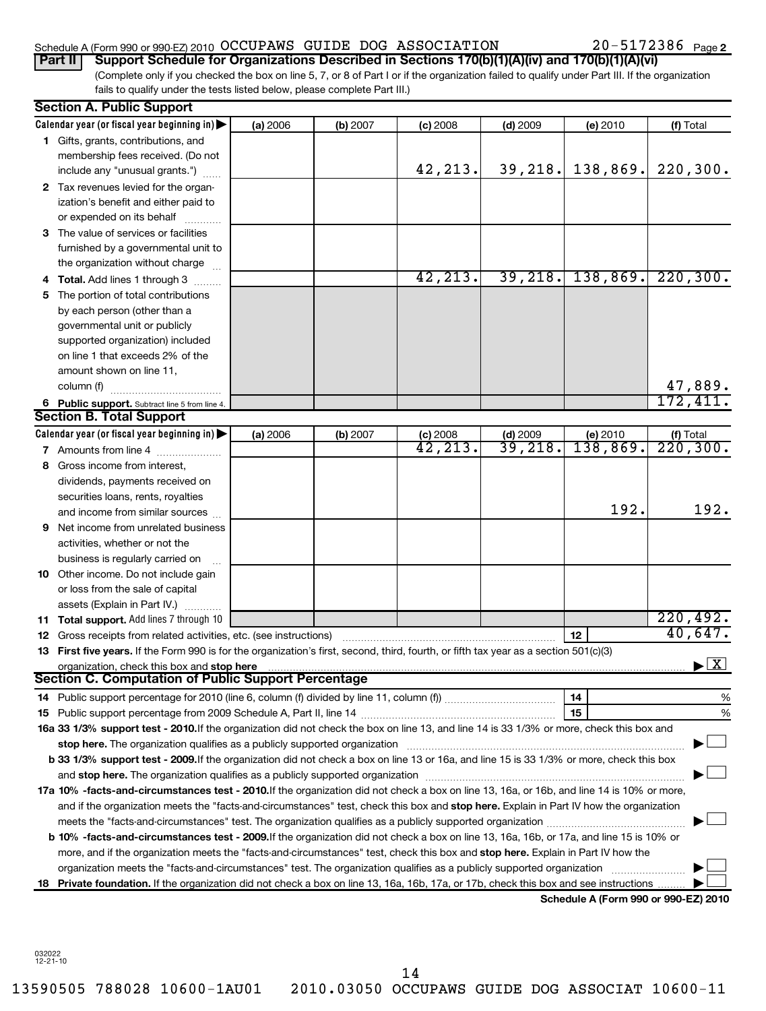# Schedule A (Form 990 or 990-EZ) 2010 Page OCCUPAWS GUIDE DOG ASSOCIATION 20-5172386

(Complete only if you checked the box on line 5, 7, or 8 of Part I or if the organization failed to qualify under Part III. If the organization fails to qualify under the tests listed below, please complete Part III.) **Part II Support Schedule for Organizations Described in Sections 170(b)(1)(A)(iv) and 170(b)(1)(A)(vi)**

|    | <b>Section A. Public Support</b>                                                                                                                                                                                               |          |          |                     |            |                                      |                                          |
|----|--------------------------------------------------------------------------------------------------------------------------------------------------------------------------------------------------------------------------------|----------|----------|---------------------|------------|--------------------------------------|------------------------------------------|
|    | Calendar year (or fiscal year beginning in)                                                                                                                                                                                    | (a) 2006 | (b) 2007 | (c) 2008            | $(d)$ 2009 | (e) 2010                             | (f) Total                                |
|    | 1 Gifts, grants, contributions, and                                                                                                                                                                                            |          |          |                     |            |                                      |                                          |
|    | membership fees received. (Do not                                                                                                                                                                                              |          |          |                     |            |                                      |                                          |
|    | include any "unusual grants.")                                                                                                                                                                                                 |          |          | 42,213.             | 39, 218.   | 138,869.                             | 220, 300.                                |
|    | 2 Tax revenues levied for the organ-                                                                                                                                                                                           |          |          |                     |            |                                      |                                          |
|    | ization's benefit and either paid to                                                                                                                                                                                           |          |          |                     |            |                                      |                                          |
|    | or expended on its behalf                                                                                                                                                                                                      |          |          |                     |            |                                      |                                          |
|    | 3 The value of services or facilities                                                                                                                                                                                          |          |          |                     |            |                                      |                                          |
|    | furnished by a governmental unit to                                                                                                                                                                                            |          |          |                     |            |                                      |                                          |
|    | the organization without charge                                                                                                                                                                                                |          |          |                     |            |                                      |                                          |
|    | 4 Total. Add lines 1 through 3                                                                                                                                                                                                 |          |          | 42, 213.            |            | 39, 218, 138, 869.                   | 220, 300.                                |
|    | The portion of total contributions                                                                                                                                                                                             |          |          |                     |            |                                      |                                          |
|    | by each person (other than a                                                                                                                                                                                                   |          |          |                     |            |                                      |                                          |
|    | governmental unit or publicly                                                                                                                                                                                                  |          |          |                     |            |                                      |                                          |
|    | supported organization) included                                                                                                                                                                                               |          |          |                     |            |                                      |                                          |
|    | on line 1 that exceeds 2% of the                                                                                                                                                                                               |          |          |                     |            |                                      |                                          |
|    | amount shown on line 11,                                                                                                                                                                                                       |          |          |                     |            |                                      |                                          |
|    | column (f)                                                                                                                                                                                                                     |          |          |                     |            |                                      | 47,889.                                  |
|    | 6 Public support. Subtract line 5 from line 4.                                                                                                                                                                                 |          |          |                     |            |                                      | 172,411.                                 |
|    | <b>Section B. Total Support</b>                                                                                                                                                                                                |          |          |                     |            |                                      |                                          |
|    | Calendar year (or fiscal year beginning in)                                                                                                                                                                                    | (a) 2006 | (b) 2007 | $(c)$ 2008          | $(d)$ 2009 | (e) 2010                             |                                          |
|    | 7 Amounts from line 4                                                                                                                                                                                                          |          |          | $\overline{42,213}$ | 39,218.    | 138,869.                             | $\frac{f(f) \text{Total}}{220,300.}$     |
|    | Gross income from interest,                                                                                                                                                                                                    |          |          |                     |            |                                      |                                          |
|    | dividends, payments received on                                                                                                                                                                                                |          |          |                     |            |                                      |                                          |
|    | securities loans, rents, royalties                                                                                                                                                                                             |          |          |                     |            |                                      |                                          |
|    | and income from similar sources                                                                                                                                                                                                |          |          |                     |            | 192.                                 | 192.                                     |
| 9  | Net income from unrelated business                                                                                                                                                                                             |          |          |                     |            |                                      |                                          |
|    | activities, whether or not the                                                                                                                                                                                                 |          |          |                     |            |                                      |                                          |
|    | business is regularly carried on                                                                                                                                                                                               |          |          |                     |            |                                      |                                          |
|    | 10 Other income. Do not include gain                                                                                                                                                                                           |          |          |                     |            |                                      |                                          |
|    | or loss from the sale of capital                                                                                                                                                                                               |          |          |                     |            |                                      |                                          |
|    | assets (Explain in Part IV.)                                                                                                                                                                                                   |          |          |                     |            |                                      |                                          |
|    | 11 Total support. Add lines 7 through 10                                                                                                                                                                                       |          |          |                     |            |                                      | 220,492.                                 |
|    | <b>12</b> Gross receipts from related activities, etc. (see instructions)                                                                                                                                                      |          |          |                     |            | 12 <sup>2</sup>                      | 40,647.                                  |
|    | 13 First five years. If the Form 990 is for the organization's first, second, third, fourth, or fifth tax year as a section 501(c)(3)                                                                                          |          |          |                     |            |                                      |                                          |
|    |                                                                                                                                                                                                                                |          |          |                     |            |                                      | $\blacktriangleright$ $\boxed{\text{X}}$ |
|    | Section C. Computation of Public Support Percentage                                                                                                                                                                            |          |          |                     |            |                                      |                                          |
|    |                                                                                                                                                                                                                                |          |          |                     |            | 14                                   | %                                        |
|    |                                                                                                                                                                                                                                |          |          |                     |            | 15                                   | %                                        |
|    | 16a 33 1/3% support test - 2010. If the organization did not check the box on line 13, and line 14 is 33 1/3% or more, check this box and                                                                                      |          |          |                     |            |                                      |                                          |
|    | stop here. The organization qualifies as a publicly supported organization manufactured content and the organization of the state of the state of the state of the state of the state of the state of the state of the state o |          |          |                     |            |                                      |                                          |
|    | b 33 1/3% support test - 2009. If the organization did not check a box on line 13 or 16a, and line 15 is 33 1/3% or more, check this box                                                                                       |          |          |                     |            |                                      |                                          |
|    |                                                                                                                                                                                                                                |          |          |                     |            |                                      |                                          |
|    | 17a 10% -facts-and-circumstances test - 2010. If the organization did not check a box on line 13, 16a, or 16b, and line 14 is 10% or more,                                                                                     |          |          |                     |            |                                      |                                          |
|    | and if the organization meets the "facts-and-circumstances" test, check this box and stop here. Explain in Part IV how the organization                                                                                        |          |          |                     |            |                                      |                                          |
|    |                                                                                                                                                                                                                                |          |          |                     |            |                                      |                                          |
|    | b 10% -facts-and-circumstances test - 2009. If the organization did not check a box on line 13, 16a, 16b, or 17a, and line 15 is 10% or                                                                                        |          |          |                     |            |                                      |                                          |
|    | more, and if the organization meets the "facts-and-circumstances" test, check this box and stop here. Explain in Part IV how the                                                                                               |          |          |                     |            |                                      |                                          |
|    | organization meets the "facts-and-circumstances" test. The organization qualifies as a publicly supported organization                                                                                                         |          |          |                     |            |                                      |                                          |
| 18 | Private foundation. If the organization did not check a box on line 13, 16a, 16b, 17a, or 17b, check this box and see instructions                                                                                             |          |          |                     |            |                                      |                                          |
|    |                                                                                                                                                                                                                                |          |          |                     |            | Schodule A (Form 000 or 000 F7) 2010 |                                          |

**Schedule A (Form 990 or 990-EZ) 2010**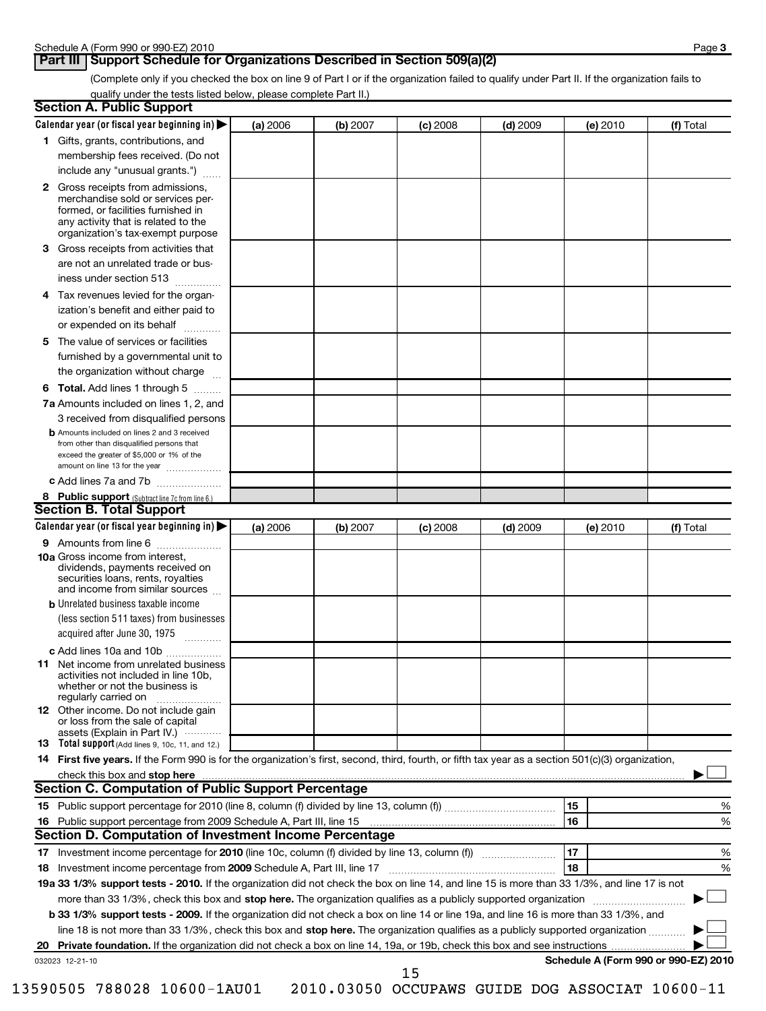# **Part III** Support Schedule for Organizations Described in Section 509(a)(2)

(Complete only if you checked the box on line 9 of Part I or if the organization failed to qualify under Part II. If the organization fails to qualify under the tests listed below, please complete Part II.)

|    | <b>Section A. Public Support</b>                                                                                                                                                                                               |          |          |            |            |          |                                      |
|----|--------------------------------------------------------------------------------------------------------------------------------------------------------------------------------------------------------------------------------|----------|----------|------------|------------|----------|--------------------------------------|
|    | Calendar year (or fiscal year beginning in)                                                                                                                                                                                    | (a) 2006 | (b) 2007 | $(c)$ 2008 | $(d)$ 2009 | (e) 2010 | (f) Total                            |
|    | 1 Gifts, grants, contributions, and                                                                                                                                                                                            |          |          |            |            |          |                                      |
|    | membership fees received. (Do not                                                                                                                                                                                              |          |          |            |            |          |                                      |
|    | include any "unusual grants.")                                                                                                                                                                                                 |          |          |            |            |          |                                      |
|    | <b>2</b> Gross receipts from admissions,<br>merchandise sold or services per-<br>formed, or facilities furnished in<br>any activity that is related to the<br>organization's tax-exempt purpose                                |          |          |            |            |          |                                      |
|    | 3 Gross receipts from activities that<br>are not an unrelated trade or bus-                                                                                                                                                    |          |          |            |            |          |                                      |
|    | iness under section 513                                                                                                                                                                                                        |          |          |            |            |          |                                      |
| 4  | Tax revenues levied for the organ-<br>ization's benefit and either paid to                                                                                                                                                     |          |          |            |            |          |                                      |
|    | or expended on its behalf                                                                                                                                                                                                      |          |          |            |            |          |                                      |
|    | 5 The value of services or facilities                                                                                                                                                                                          |          |          |            |            |          |                                      |
|    | furnished by a governmental unit to<br>the organization without charge                                                                                                                                                         |          |          |            |            |          |                                      |
|    | <b>6 Total.</b> Add lines 1 through 5                                                                                                                                                                                          |          |          |            |            |          |                                      |
|    | 7a Amounts included on lines 1, 2, and                                                                                                                                                                                         |          |          |            |            |          |                                      |
|    | 3 received from disqualified persons                                                                                                                                                                                           |          |          |            |            |          |                                      |
|    | <b>b</b> Amounts included on lines 2 and 3 received<br>from other than disqualified persons that<br>exceed the greater of \$5,000 or 1% of the                                                                                 |          |          |            |            |          |                                      |
|    | amount on line 13 for the year<br>c Add lines 7a and 7b                                                                                                                                                                        |          |          |            |            |          |                                      |
|    | 8 Public support (Subtract line 7c from line 6.)                                                                                                                                                                               |          |          |            |            |          |                                      |
|    | <b>Section B. Total Support</b>                                                                                                                                                                                                |          |          |            |            |          |                                      |
|    | Calendar year (or fiscal year beginning in)                                                                                                                                                                                    | (a) 2006 | (b) 2007 | $(c)$ 2008 | $(d)$ 2009 | (e) 2010 | (f) Total                            |
|    | 9 Amounts from line 6                                                                                                                                                                                                          |          |          |            |            |          |                                      |
|    | <b>10a</b> Gross income from interest,<br>dividends, payments received on<br>securities loans, rents, royalties<br>and income from similar sources                                                                             |          |          |            |            |          |                                      |
|    | <b>b</b> Unrelated business taxable income                                                                                                                                                                                     |          |          |            |            |          |                                      |
|    | (less section 511 taxes) from businesses<br>acquired after June 30, 1975                                                                                                                                                       |          |          |            |            |          |                                      |
|    | c Add lines 10a and 10b                                                                                                                                                                                                        |          |          |            |            |          |                                      |
|    | <b>11</b> Net income from unrelated business<br>activities not included in line 10b,<br>whether or not the business is<br>regularly carried on                                                                                 |          |          |            |            |          |                                      |
|    | 12 Other income. Do not include gain<br>or loss from the sale of capital<br>assets (Explain in Part IV.)                                                                                                                       |          |          |            |            |          |                                      |
|    | 13 Total support (Add lines 9, 10c, 11, and 12.)                                                                                                                                                                               |          |          |            |            |          |                                      |
|    | 14 First five years. If the Form 990 is for the organization's first, second, third, fourth, or fifth tax year as a section 501(c)(3) organization,                                                                            |          |          |            |            |          |                                      |
|    | check this box and stop here with the content of the content of the state of the content of the state of the state of the content of the content of the content of the content of the content of the content of the content of |          |          |            |            |          |                                      |
|    | <b>Section C. Computation of Public Support Percentage</b>                                                                                                                                                                     |          |          |            |            |          |                                      |
|    |                                                                                                                                                                                                                                |          |          |            |            | 15       | %                                    |
|    |                                                                                                                                                                                                                                |          |          |            |            | 16       | %                                    |
|    | Section D. Computation of Investment Income Percentage                                                                                                                                                                         |          |          |            |            |          |                                      |
|    |                                                                                                                                                                                                                                |          |          |            |            | 17       | %                                    |
|    | 18 Investment income percentage from 2009 Schedule A, Part III, line 17                                                                                                                                                        |          |          |            |            | 18       | %                                    |
|    | 19a 33 1/3% support tests - 2010. If the organization did not check the box on line 14, and line 15 is more than 33 1/3%, and line 17 is not                                                                                   |          |          |            |            |          |                                      |
|    | more than 33 1/3%, check this box and stop here. The organization qualifies as a publicly supported organization                                                                                                               |          |          |            |            |          |                                      |
|    | b 33 1/3% support tests - 2009. If the organization did not check a box on line 14 or line 19a, and line 16 is more than 33 1/3%, and                                                                                          |          |          |            |            |          |                                      |
|    | line 18 is not more than 33 1/3%, check this box and stop here. The organization qualifies as a publicly supported organization                                                                                                |          |          |            |            |          |                                      |
| 20 |                                                                                                                                                                                                                                |          |          |            |            |          |                                      |
|    | 032023 12-21-10                                                                                                                                                                                                                |          |          |            |            |          | Schedule A (Form 990 or 990-EZ) 2010 |

15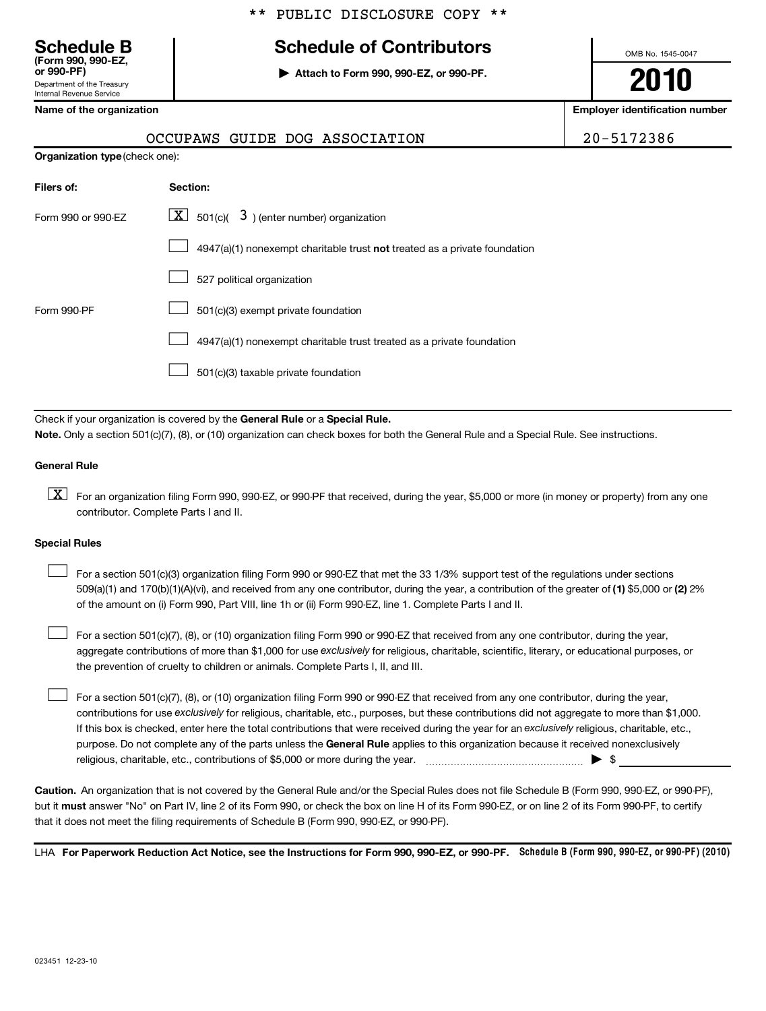# **Schedule B Schedule of Contributors**

**or 990-PF) | Attach to Form 990, 990-EZ, or 990-PF.**

OMB No. 1545-0047

**2010**

**Name of the organization Employer identification number**

| Name of the organization |  |
|--------------------------|--|
|--------------------------|--|

Department of the Treasury Internal Revenue Service

**(Form 990, 990-EZ,**

|                                       | OCCUPAWS GUIDE DOG ASSOCIATION                                            | 20-5172386 |
|---------------------------------------|---------------------------------------------------------------------------|------------|
| <b>Organization type (check one):</b> |                                                                           |            |
| Filers of:                            | Section:                                                                  |            |
| Form 990 or 990-EZ                    | $\lfloor \underline{X} \rfloor$ 501(c)( 3) (enter number) organization    |            |
|                                       | 4947(a)(1) nonexempt charitable trust not treated as a private foundation |            |
|                                       | 527 political organization                                                |            |
| Form 990-PF                           | 501(c)(3) exempt private foundation                                       |            |
|                                       | 4947(a)(1) nonexempt charitable trust treated as a private foundation     |            |
|                                       | 501(c)(3) taxable private foundation                                      |            |

Check if your organization is covered by the General Rule or a Special Rule. **Note.**  Only a section 501(c)(7), (8), or (10) organization can check boxes for both the General Rule and a Special Rule. See instructions.

### **General Rule**

 $\boxed{\textbf{X}}$  For an organization filing Form 990, 990-EZ, or 990-PF that received, during the year, \$5,000 or more (in money or property) from any one contributor. Complete Parts I and II.

### **Special Rules**

509(a)(1) and 170(b)(1)(A)(vi), and received from any one contributor, during the year, a contribution of the greater of (1) \$5,000 or (2) 2% For a section 501(c)(3) organization filing Form 990 or 990-EZ that met the 33 1/3% support test of the regulations under sections of the amount on (i) Form 990, Part VIII, line 1h or (ii) Form 990-EZ, line 1. Complete Parts I and II.  $\left\vert \cdot\right\vert$ 

aggregate contributions of more than \$1,000 for use exclusively for religious, charitable, scientific, literary, or educational purposes, or For a section 501(c)(7), (8), or (10) organization filing Form 990 or 990-EZ that received from any one contributor, during the year, the prevention of cruelty to children or animals. Complete Parts I, II, and III.  $\left\vert \cdot\right\vert$ 

purpose. Do not complete any of the parts unless the General Rule applies to this organization because it received nonexclusively contributions for use exclusively for religious, charitable, etc., purposes, but these contributions did not aggregate to more than \$1,000. If this box is checked, enter here the total contributions that were received during the year for an exclusively religious, charitable, etc., For a section 501(c)(7), (8), or (10) organization filing Form 990 or 990-EZ that received from any one contributor, during the year, religious, charitable, etc., contributions of \$5,000 or more during the year. ~~~~~~~~~~~~~~~~~ | \$  $\left\vert \cdot\right\vert$ 

**Caution.** An organization that is not covered by the General Rule and/or the Special Rules does not file Schedule B (Form 990, 990-EZ, or 990-PF), but it **must** answer "No" on Part IV, line 2 of its Form 990, or check the box on line H of its Form 990-EZ, or on line 2 of its Form 990-PF, to certify that it does not meet the filing requirements of Schedule B (Form 990, 990-EZ, or 990-PF).

LHA For Paperwork Reduction Act Notice, see the Instructions for Form 990, 990-EZ, or 990-PF. Schedule B (Form 990, 990-EZ, or 990-PF) (2010)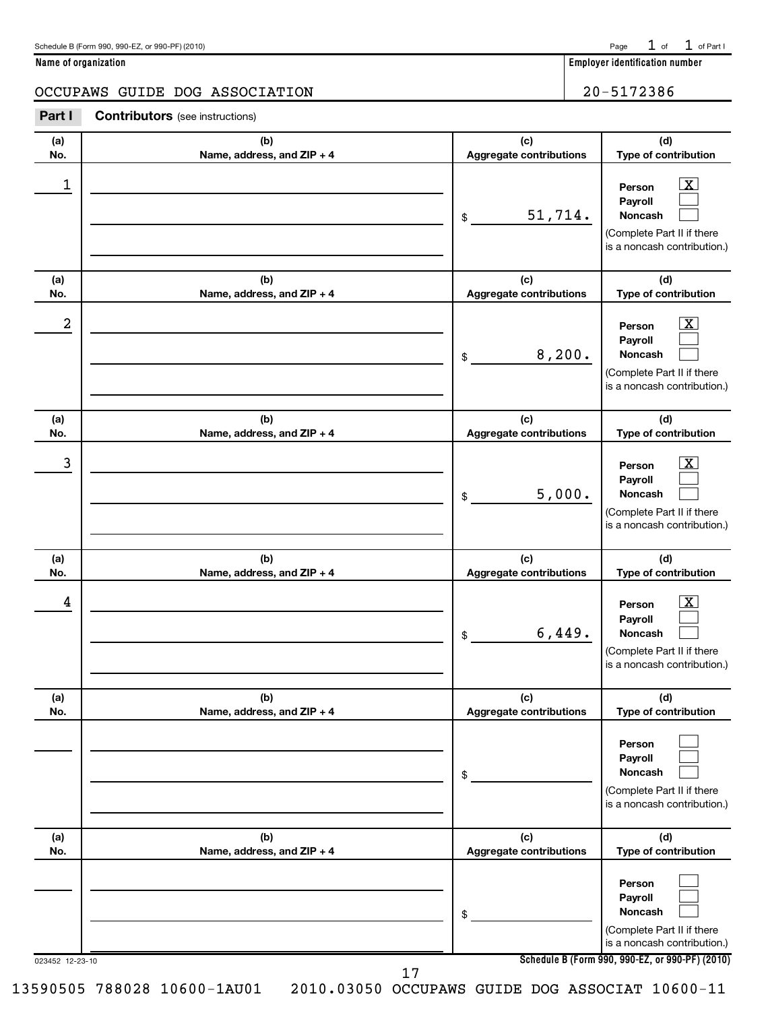| Schedule B (Form 990, 990-EZ, or 990-PF) (2010) | Page | $\sim$ f | of Part I |
|-------------------------------------------------|------|----------|-----------|
|-------------------------------------------------|------|----------|-----------|

**Name of organization Employer identification number**

## OCCUPAWS GUIDE DOG ASSOCIATION | 20-5172386

| Part I | <b>Contributors</b> (see instructions) |  |
|--------|----------------------------------------|--|
|--------|----------------------------------------|--|

| (a)<br>No. | (b)<br>Name, address, and ZIP + 4 | (c)<br>Aggregate contributions          | (d)<br>Type of contribution                                                                                                                  |
|------------|-----------------------------------|-----------------------------------------|----------------------------------------------------------------------------------------------------------------------------------------------|
| 1          |                                   | 51,714.<br>\$                           | $\overline{\mathbf{x}}$<br>Person<br>Payroll<br>Noncash<br>(Complete Part II if there<br>is a noncash contribution.)                         |
| (a)<br>No. | (b)<br>Name, address, and ZIP + 4 | (c)<br>Aggregate contributions          | (d)<br>Type of contribution                                                                                                                  |
| 2          |                                   | 8,200.<br>\$                            | $\overline{\mathbf{x}}$<br>Person<br>Payroll<br>Noncash<br>(Complete Part II if there<br>is a noncash contribution.)                         |
| (a)<br>No. | (b)<br>Name, address, and ZIP + 4 | (c)<br>Aggregate contributions          | (d)<br>Type of contribution                                                                                                                  |
| 3          |                                   | 5,000.<br>\$                            | $\boxed{\textbf{X}}$<br>Person<br>Payroll<br>Noncash<br>(Complete Part II if there<br>is a noncash contribution.)                            |
|            |                                   |                                         |                                                                                                                                              |
| (a)<br>No. | (b)                               | (c)                                     | (d)                                                                                                                                          |
| 4          | Name, address, and ZIP + 4        | Aggregate contributions<br>6,449.<br>\$ | Type of contribution<br>$\overline{\mathbf{x}}$<br>Person<br>Payroll<br>Noncash<br>(Complete Part II if there<br>is a noncash contribution.) |
| (a)<br>No. | (b)<br>Name, address, and ZIP + 4 | (c)<br>Aggregate contributions          | (d)<br>Type of contribution                                                                                                                  |
|            |                                   | \$                                      | Person<br>Payroll<br>Noncash<br>(Complete Part II if there<br>is a noncash contribution.)                                                    |
| (a)<br>No. | (b)<br>Name, address, and ZIP + 4 | (c)<br>Aggregate contributions          | (d)<br>Type of contribution                                                                                                                  |
|            |                                   | \$                                      | Person<br>Payroll<br>Noncash<br>(Complete Part II if there<br>is a noncash contribution.)<br>Schedule B (Form 990, 990-EZ, or 990-PF) (2010) |

17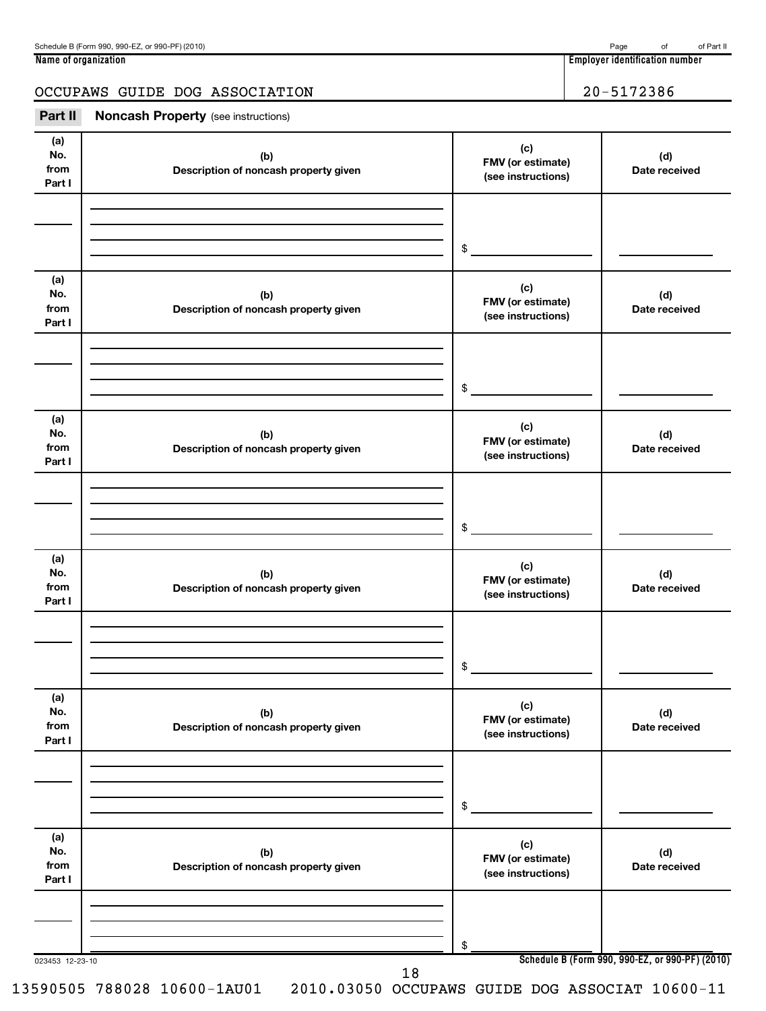| Schedule B (Form 990, 990-EZ, or 990-PF) (2010) | Page | nt | of Part II |
|-------------------------------------------------|------|----|------------|
|-------------------------------------------------|------|----|------------|

**Name of organization Employer identification number**

# OCCUPAWS GUIDE DOG ASSOCIATION 20-5172386

| Part II                      | <b>Noncash Property</b> (see instructions)   |                                                |                                                 |
|------------------------------|----------------------------------------------|------------------------------------------------|-------------------------------------------------|
| (a)<br>No.<br>from<br>Part I | (b)<br>Description of noncash property given | (c)<br>FMV (or estimate)<br>(see instructions) | (d)<br>Date received                            |
|                              |                                              |                                                |                                                 |
|                              |                                              | $\frac{1}{2}$                                  |                                                 |
| (a)<br>No.<br>from<br>Part I | (b)<br>Description of noncash property given | (c)<br>FMV (or estimate)<br>(see instructions) | (d)<br>Date received                            |
|                              |                                              | $\frac{1}{2}$                                  |                                                 |
| (a)<br>No.<br>from<br>Part I | (b)<br>Description of noncash property given | (c)<br>FMV (or estimate)<br>(see instructions) | (d)<br>Date received                            |
|                              |                                              | \$                                             |                                                 |
| (a)<br>No.<br>from<br>Part I | (b)<br>Description of noncash property given | (c)<br>FMV (or estimate)<br>(see instructions) | (d)<br>Date received                            |
|                              |                                              | \$                                             |                                                 |
| (a)<br>No.<br>from<br>Part I | (b)<br>Description of noncash property given | (c)<br>FMV (or estimate)<br>(see instructions) | (d)<br>Date received                            |
|                              |                                              | \$                                             |                                                 |
| (a)<br>No.<br>from<br>Part I | (b)<br>Description of noncash property given | (c)<br>FMV (or estimate)<br>(see instructions) | (d)<br>Date received                            |
|                              |                                              | \$                                             |                                                 |
| 023453 12-23-10              | 18                                           |                                                | Schedule B (Form 990, 990-EZ, or 990-PF) (2010) |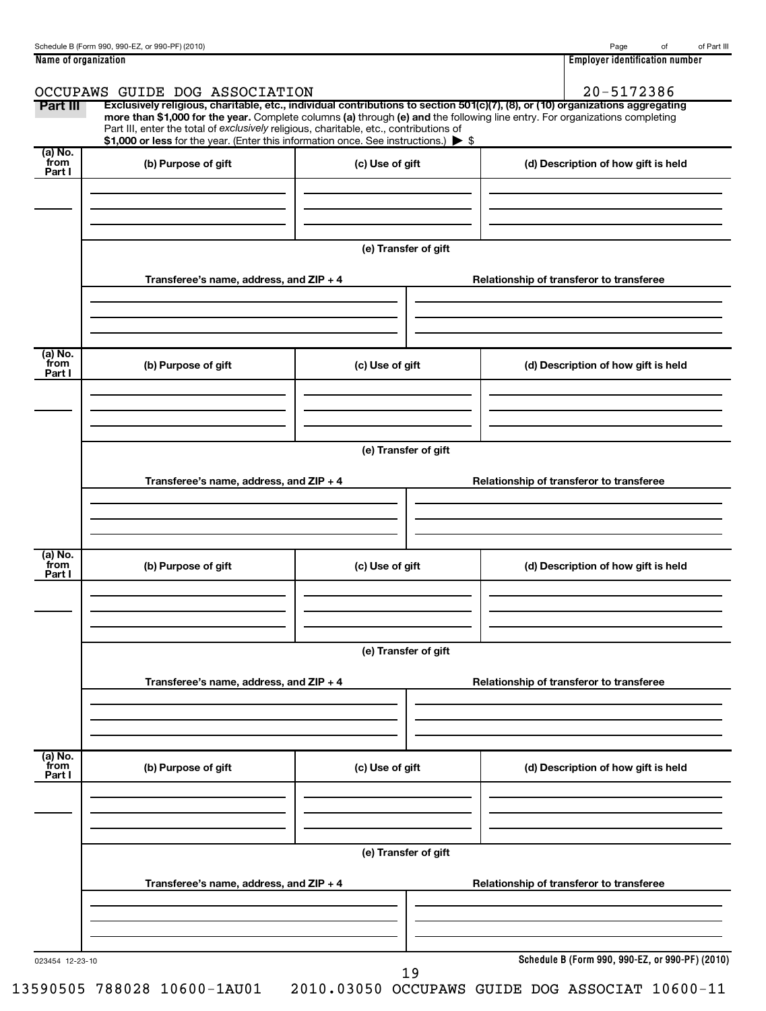| Name of organization | 1 1 1 1<br>Emplover<br>r identification number. |
|----------------------|-------------------------------------------------|

| Part III                  | OCCUPAWS GUIDE DOG ASSOCIATION<br>Part III, enter the total of exclusively religious, charitable, etc., contributions of<br>\$1,000 or less for the year. (Enter this information once. See instructions.) > \$ |                      | 20-5172386<br>Exclusively religious, charitable, etc., individual contributions to section 501(c)(7), (8), or (10) organizations aggregating<br>more than \$1,000 for the year. Complete columns (a) through (e) and the following line entry. For organizations completing |
|---------------------------|-----------------------------------------------------------------------------------------------------------------------------------------------------------------------------------------------------------------|----------------------|-----------------------------------------------------------------------------------------------------------------------------------------------------------------------------------------------------------------------------------------------------------------------------|
| (a) No.<br>from<br>Part I | (b) Purpose of gift                                                                                                                                                                                             | (c) Use of gift      | (d) Description of how gift is held                                                                                                                                                                                                                                         |
|                           | Transferee's name, address, and $ZIP + 4$                                                                                                                                                                       | (e) Transfer of gift | Relationship of transferor to transferee                                                                                                                                                                                                                                    |
| (a) No.                   |                                                                                                                                                                                                                 |                      |                                                                                                                                                                                                                                                                             |
| from<br>Part I            | (b) Purpose of gift                                                                                                                                                                                             | (c) Use of gift      | (d) Description of how gift is held                                                                                                                                                                                                                                         |
|                           | Transferee's name, address, and ZIP + 4                                                                                                                                                                         | (e) Transfer of gift | Relationship of transferor to transferee                                                                                                                                                                                                                                    |
| (a) No.<br>from<br>Part I | (b) Purpose of gift                                                                                                                                                                                             | (c) Use of gift      | (d) Description of how gift is held                                                                                                                                                                                                                                         |
|                           | Transferee's name, address, and ZIP + 4                                                                                                                                                                         | (e) Transfer of gift | Relationship of transferor to transferee                                                                                                                                                                                                                                    |
| (a) No.<br>from<br>Part I | (b) Purpose of gift                                                                                                                                                                                             | (c) Use of gift      | (d) Description of how gift is held                                                                                                                                                                                                                                         |
|                           | Transferee's name, address, and ZIP + 4                                                                                                                                                                         | (e) Transfer of gift | Relationship of transferor to transferee                                                                                                                                                                                                                                    |
| 023454 12-23-10           |                                                                                                                                                                                                                 |                      | Schedule B (Form 990, 990-EZ, or 990-PF) (2010)                                                                                                                                                                                                                             |

19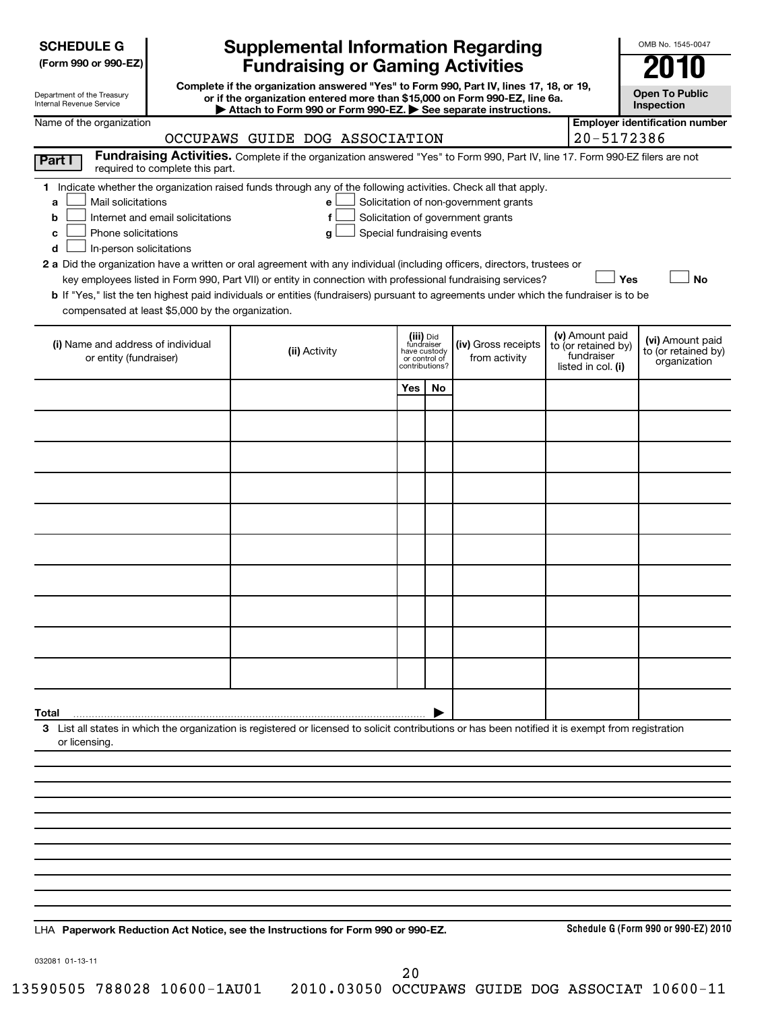| <b>SCHEDULE G</b> |
|-------------------|
|-------------------|

| (Form 990 or 990-EZ) |  |  |  |  |
|----------------------|--|--|--|--|
|----------------------|--|--|--|--|

Department of the Treasury Internal Revenue Service

# **Supplemental Information Regarding Fundraising or Gaming Activities**

**Complete if the organization answered "Yes" to Form 990, Part IV, lines 17, 18, or 19, or if the organization entered more than \$15,000 on Form 990-EZ, line 6a. | Attach to Form 990 or Form 990-EZ. | See separate instructions.**

**Open To Public Inspection**

**Employer identification number**

OMB No. 1545-0047

| 20-5172386<br>OCCUPAWS GUIDE DOG ASSOCIATION                                                                                                                                                                                                                                                                                                                                                                                                                                                                                                                                                                                                                                                                                                                                                                                              |               |                                                                            |    |                                      |                                                                            |                                                         |  |
|-------------------------------------------------------------------------------------------------------------------------------------------------------------------------------------------------------------------------------------------------------------------------------------------------------------------------------------------------------------------------------------------------------------------------------------------------------------------------------------------------------------------------------------------------------------------------------------------------------------------------------------------------------------------------------------------------------------------------------------------------------------------------------------------------------------------------------------------|---------------|----------------------------------------------------------------------------|----|--------------------------------------|----------------------------------------------------------------------------|---------------------------------------------------------|--|
| Fundraising Activities. Complete if the organization answered "Yes" to Form 990, Part IV, line 17. Form 990-EZ filers are not<br>Part I<br>required to complete this part.                                                                                                                                                                                                                                                                                                                                                                                                                                                                                                                                                                                                                                                                |               |                                                                            |    |                                      |                                                                            |                                                         |  |
| 1 Indicate whether the organization raised funds through any of the following activities. Check all that apply.<br>Mail solicitations<br>Solicitation of non-government grants<br>e<br>a<br>Solicitation of government grants<br>Internet and email solicitations<br>f<br>b<br>Special fundraising events<br>Phone solicitations<br>C<br>g<br>In-person solicitations<br>d<br>2 a Did the organization have a written or oral agreement with any individual (including officers, directors, trustees or<br>key employees listed in Form 990, Part VII) or entity in connection with professional fundraising services?<br>Yes<br><b>No</b><br>b If "Yes," list the ten highest paid individuals or entities (fundraisers) pursuant to agreements under which the fundraiser is to be<br>compensated at least \$5,000 by the organization. |               |                                                                            |    |                                      |                                                                            |                                                         |  |
| (i) Name and address of individual<br>or entity (fundraiser)                                                                                                                                                                                                                                                                                                                                                                                                                                                                                                                                                                                                                                                                                                                                                                              | (ii) Activity | (iii) Did<br>fundraiser<br>have custody<br>or control of<br>contributions? |    | (iv) Gross receipts<br>from activity | (v) Amount paid<br>to (or retained by)<br>fundraiser<br>listed in col. (i) | (vi) Amount paid<br>to (or retained by)<br>organization |  |
|                                                                                                                                                                                                                                                                                                                                                                                                                                                                                                                                                                                                                                                                                                                                                                                                                                           |               | Yes                                                                        | No |                                      |                                                                            |                                                         |  |
|                                                                                                                                                                                                                                                                                                                                                                                                                                                                                                                                                                                                                                                                                                                                                                                                                                           |               |                                                                            |    |                                      |                                                                            |                                                         |  |
|                                                                                                                                                                                                                                                                                                                                                                                                                                                                                                                                                                                                                                                                                                                                                                                                                                           |               |                                                                            |    |                                      |                                                                            |                                                         |  |
|                                                                                                                                                                                                                                                                                                                                                                                                                                                                                                                                                                                                                                                                                                                                                                                                                                           |               |                                                                            |    |                                      |                                                                            |                                                         |  |
|                                                                                                                                                                                                                                                                                                                                                                                                                                                                                                                                                                                                                                                                                                                                                                                                                                           |               |                                                                            |    |                                      |                                                                            |                                                         |  |
|                                                                                                                                                                                                                                                                                                                                                                                                                                                                                                                                                                                                                                                                                                                                                                                                                                           |               |                                                                            |    |                                      |                                                                            |                                                         |  |
|                                                                                                                                                                                                                                                                                                                                                                                                                                                                                                                                                                                                                                                                                                                                                                                                                                           |               |                                                                            |    |                                      |                                                                            |                                                         |  |
|                                                                                                                                                                                                                                                                                                                                                                                                                                                                                                                                                                                                                                                                                                                                                                                                                                           |               |                                                                            |    |                                      |                                                                            |                                                         |  |
|                                                                                                                                                                                                                                                                                                                                                                                                                                                                                                                                                                                                                                                                                                                                                                                                                                           |               |                                                                            |    |                                      |                                                                            |                                                         |  |
|                                                                                                                                                                                                                                                                                                                                                                                                                                                                                                                                                                                                                                                                                                                                                                                                                                           |               |                                                                            |    |                                      |                                                                            |                                                         |  |
|                                                                                                                                                                                                                                                                                                                                                                                                                                                                                                                                                                                                                                                                                                                                                                                                                                           |               |                                                                            |    |                                      |                                                                            |                                                         |  |
| 3 List all states in which the organization is registered or licensed to solicit contributions or has been notified it is exempt from registration<br>or licensing.                                                                                                                                                                                                                                                                                                                                                                                                                                                                                                                                                                                                                                                                       |               |                                                                            |    |                                      |                                                                            |                                                         |  |
|                                                                                                                                                                                                                                                                                                                                                                                                                                                                                                                                                                                                                                                                                                                                                                                                                                           |               |                                                                            |    |                                      |                                                                            |                                                         |  |
|                                                                                                                                                                                                                                                                                                                                                                                                                                                                                                                                                                                                                                                                                                                                                                                                                                           |               |                                                                            |    |                                      |                                                                            |                                                         |  |
|                                                                                                                                                                                                                                                                                                                                                                                                                                                                                                                                                                                                                                                                                                                                                                                                                                           |               |                                                                            |    |                                      |                                                                            |                                                         |  |
|                                                                                                                                                                                                                                                                                                                                                                                                                                                                                                                                                                                                                                                                                                                                                                                                                                           |               |                                                                            |    |                                      |                                                                            |                                                         |  |
|                                                                                                                                                                                                                                                                                                                                                                                                                                                                                                                                                                                                                                                                                                                                                                                                                                           |               |                                                                            |    |                                      |                                                                            |                                                         |  |
|                                                                                                                                                                                                                                                                                                                                                                                                                                                                                                                                                                                                                                                                                                                                                                                                                                           |               |                                                                            |    |                                      |                                                                            |                                                         |  |
|                                                                                                                                                                                                                                                                                                                                                                                                                                                                                                                                                                                                                                                                                                                                                                                                                                           |               |                                                                            |    |                                      |                                                                            |                                                         |  |

**Paperwork Reduction Act Notice, see the Instructions for Form 990 or 990-EZ.** LHA

**Schedule G (Form 990 or 990-EZ) 2010**

032081 01-13-11

20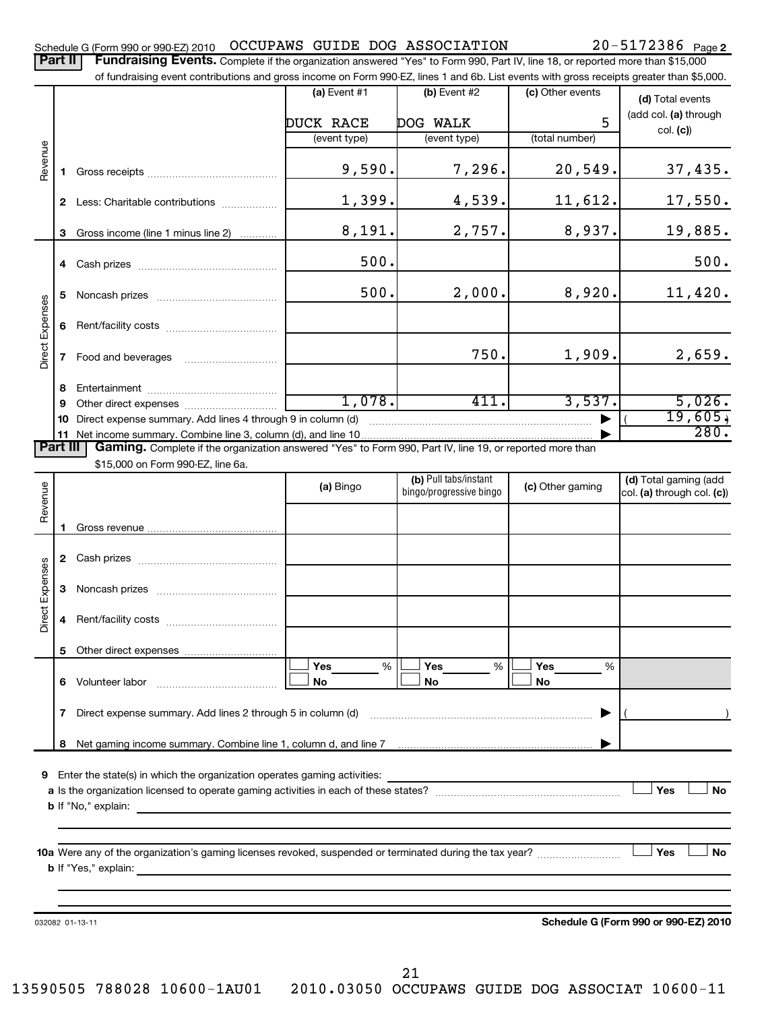Part II | Fundraising Events. Complete if the organization answered "Yes" to Form 990, Part IV, line 18, or reported more than \$15,000

|                        |    | of fundraising event contributions and gross income on Form 990-EZ, lines 1 and 6b. List events with gross receipts greater than \$5,000. |                |                         |                  |                                      |
|------------------------|----|-------------------------------------------------------------------------------------------------------------------------------------------|----------------|-------------------------|------------------|--------------------------------------|
|                        |    |                                                                                                                                           | (a) Event $#1$ | (b) Event #2            | (c) Other events | (d) Total events                     |
|                        |    |                                                                                                                                           |                |                         |                  | (add col. (a) through                |
|                        |    | DUCK RACE<br>DOG WALK                                                                                                                     |                |                         | 5                | col. (c))                            |
| Revenue                |    |                                                                                                                                           | (event type)   | (event type)            | (total number)   |                                      |
|                        | 1. |                                                                                                                                           | 9,590.         | 7,296.                  | 20,549.          | 37,435.                              |
|                        |    | 2 Less: Charitable contributions                                                                                                          | 1,399.         | 4,539.                  | 11,612.          | 17,550.                              |
|                        | 3  | Gross income (line 1 minus line 2)                                                                                                        | 8,191.         | 2,757.                  | 8,937.           | 19,885.                              |
|                        |    |                                                                                                                                           | 500.           |                         |                  | 500.                                 |
|                        | 5  |                                                                                                                                           | 500.           | 2,000.                  | 8,920.           | 11,420.                              |
| <b>Direct Expenses</b> | 6  |                                                                                                                                           |                |                         |                  |                                      |
|                        | 7  |                                                                                                                                           |                | 750.                    | 1,909.           | 2,659.                               |
|                        | 8  |                                                                                                                                           |                |                         |                  |                                      |
|                        | 9  |                                                                                                                                           | 1,078.         | 411.                    | 3,537.           | 5,026.                               |
|                        | 10 | Direct expense summary. Add lines 4 through 9 in column (d)                                                                               |                |                         |                  | 19,605,<br>280.                      |
|                        |    |                                                                                                                                           |                |                         |                  |                                      |
| Part III               |    | Gaming. Complete if the organization answered "Yes" to Form 990, Part IV, line 19, or reported more than                                  |                |                         |                  |                                      |
|                        |    | \$15,000 on Form 990-EZ, line 6a.                                                                                                         |                | (b) Pull tabs/instant   |                  | (d) Total gaming (add                |
| Revenue                |    |                                                                                                                                           | (a) Bingo      | bingo/progressive bingo | (c) Other gaming | col. (a) through col. (c))           |
|                        | 1. |                                                                                                                                           |                |                         |                  |                                      |
|                        |    |                                                                                                                                           |                |                         |                  |                                      |
| Direct Expenses        | 3  |                                                                                                                                           |                |                         |                  |                                      |
|                        | 4  |                                                                                                                                           |                |                         |                  |                                      |
|                        | 5  |                                                                                                                                           |                |                         |                  |                                      |
|                        |    | 6 Volunteer labor                                                                                                                         | Yes<br>%<br>No | Yes<br>%<br>No          | Yes<br>%<br>No   |                                      |
|                        | 7  | Direct expense summary. Add lines 2 through 5 in column (d)                                                                               |                |                         |                  |                                      |
|                        |    |                                                                                                                                           |                |                         |                  |                                      |
|                        |    | 9 Enter the state(s) in which the organization operates gaming activities:                                                                |                |                         |                  | Yes<br>No                            |
| Yes                    |    |                                                                                                                                           |                |                         |                  |                                      |
|                        |    |                                                                                                                                           |                |                         |                  |                                      |
|                        |    | 032082 01-13-11                                                                                                                           |                |                         |                  | Schedule G (Form 990 or 990-EZ) 2010 |
|                        |    |                                                                                                                                           |                |                         |                  |                                      |

21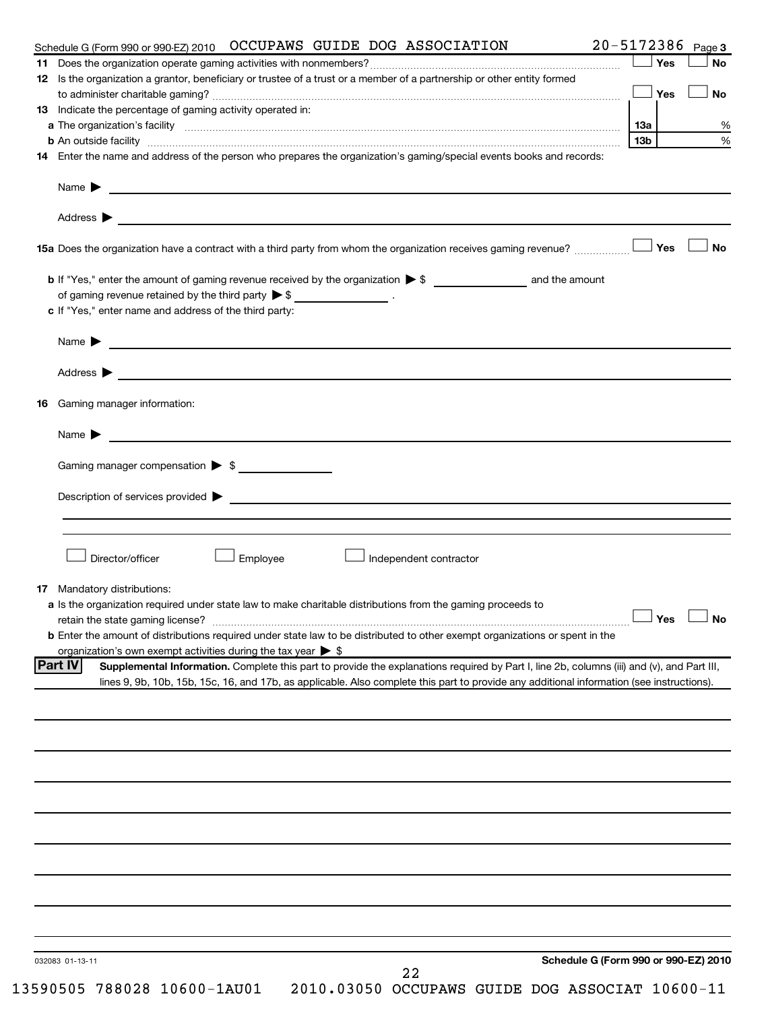|     | 20-5172386 Page 3<br>Schedule G (Form 990 or 990-EZ) 2010  OCCUPAWS  GUIDE  DOG  ASSOCIATION                                                                                                                                                 |     |     |           |
|-----|----------------------------------------------------------------------------------------------------------------------------------------------------------------------------------------------------------------------------------------------|-----|-----|-----------|
|     |                                                                                                                                                                                                                                              |     | Yes | <b>No</b> |
|     | 12 Is the organization a grantor, beneficiary or trustee of a trust or a member of a partnership or other entity formed                                                                                                                      |     |     |           |
|     |                                                                                                                                                                                                                                              |     | Yes | <b>No</b> |
|     | 13 Indicate the percentage of gaming activity operated in:                                                                                                                                                                                   |     |     |           |
|     |                                                                                                                                                                                                                                              |     |     |           |
|     |                                                                                                                                                                                                                                              | 13b |     |           |
|     | 14 Enter the name and address of the person who prepares the organization's gaming/special events books and records:                                                                                                                         |     |     |           |
|     | Name <b>Decision and Contract Contract Contract Contract Contract Contract Contract Contract Contract Contract Contract Contract Contract Contract Contract Contract Contract Contract Contract Contract Contract Contract Contr</b>         |     |     |           |
|     |                                                                                                                                                                                                                                              |     |     |           |
|     | 15a Does the organization have a contract with a third party from whom the organization receives gaming revenue?                                                                                                                             |     | Yes | <b>No</b> |
|     |                                                                                                                                                                                                                                              |     |     |           |
|     | of gaming revenue retained by the third party $\triangleright$ \$ __________________.                                                                                                                                                        |     |     |           |
|     | c If "Yes," enter name and address of the third party:                                                                                                                                                                                       |     |     |           |
|     |                                                                                                                                                                                                                                              |     |     |           |
|     |                                                                                                                                                                                                                                              |     |     |           |
|     | Address > the contract of the contract of the contract of the contract of the contract of the contract of the contract of the contract of the contract of the contract of the contract of the contract of the contract of the                |     |     |           |
| 16. | Gaming manager information:                                                                                                                                                                                                                  |     |     |           |
|     |                                                                                                                                                                                                                                              |     |     |           |
|     | Gaming manager compensation > \$                                                                                                                                                                                                             |     |     |           |
|     |                                                                                                                                                                                                                                              |     |     |           |
|     |                                                                                                                                                                                                                                              |     |     |           |
|     | Director/officer<br>Employee<br>Independent contractor                                                                                                                                                                                       |     |     |           |
|     | 17 Mandatory distributions:                                                                                                                                                                                                                  |     |     |           |
|     | a Is the organization required under state law to make charitable distributions from the gaming proceeds to                                                                                                                                  |     |     |           |
|     | retain the state gaming license? $\Box$ No                                                                                                                                                                                                   |     |     |           |
|     | b Enter the amount of distributions required under state law to be distributed to other exempt organizations or spent in the                                                                                                                 |     |     |           |
|     | organization's own exempt activities during the tax year $\triangleright$ \$<br><b>Part IV</b><br>Supplemental Information. Complete this part to provide the explanations required by Part I, line 2b, columns (iii) and (v), and Part III, |     |     |           |
|     | lines 9, 9b, 10b, 15b, 15c, 16, and 17b, as applicable. Also complete this part to provide any additional information (see instructions).                                                                                                    |     |     |           |
|     |                                                                                                                                                                                                                                              |     |     |           |
|     |                                                                                                                                                                                                                                              |     |     |           |
|     |                                                                                                                                                                                                                                              |     |     |           |
|     |                                                                                                                                                                                                                                              |     |     |           |
|     |                                                                                                                                                                                                                                              |     |     |           |
|     |                                                                                                                                                                                                                                              |     |     |           |
|     |                                                                                                                                                                                                                                              |     |     |           |
|     |                                                                                                                                                                                                                                              |     |     |           |
|     |                                                                                                                                                                                                                                              |     |     |           |
|     | Schedule G (Form 990 or 990-EZ) 2010<br>032083 01-13-11                                                                                                                                                                                      |     |     |           |
|     | 22                                                                                                                                                                                                                                           |     |     |           |
|     | 13590505 788028 10600-1AU01<br>2010.03050 OCCUPAWS GUIDE DOG ASSOCIAT 10600-11                                                                                                                                                               |     |     |           |